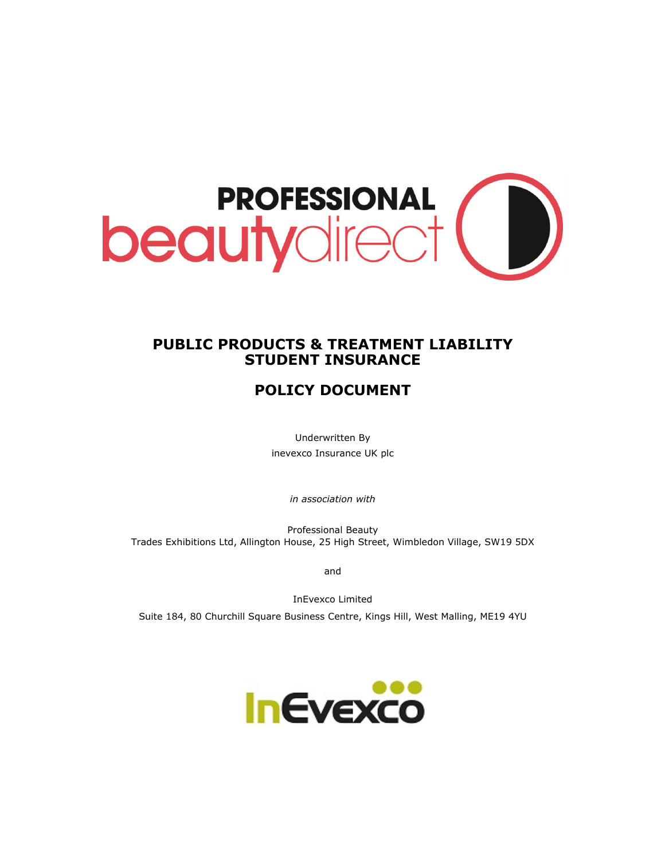

# **PUBLIC PRODUCTS & TREATMENT LIABILITY STUDENT INSURANCE**

# **POLICY DOCUMENT**

Underwritten By inevexco Insurance UK plc

*in association with* 

Professional Beauty Trades Exhibitions Ltd, Allington House, 25 High Street, Wimbledon Village, SW19 5DX

and

InEvexco Limited

Suite 184, 80 Churchill Square Business Centre, Kings Hill, West Malling, ME19 4YU

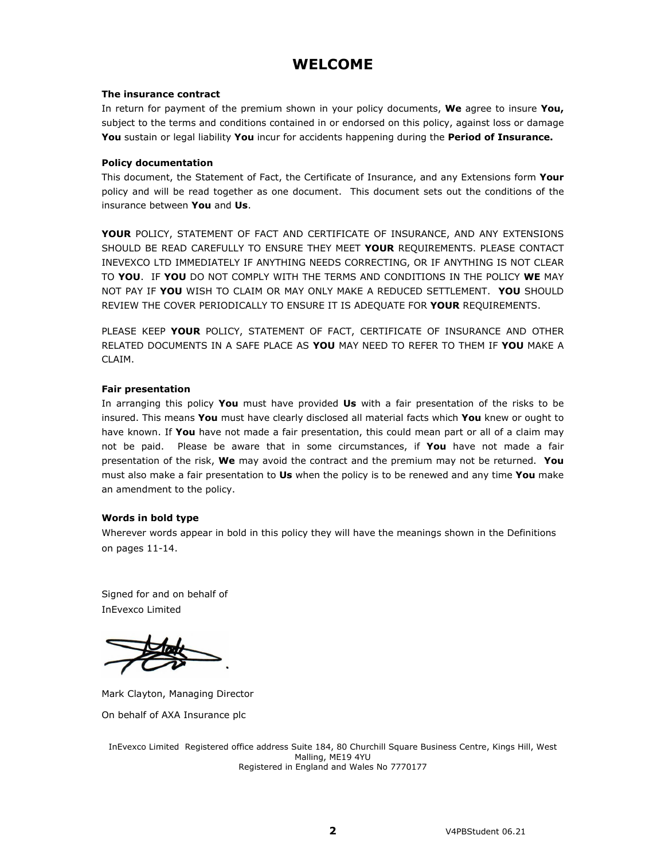# **WELCOME**

#### **The insurance contract**

In return for payment of the premium shown in your policy documents, **We** agree to insure **You,**  subject to the terms and conditions contained in or endorsed on this policy, against loss or damage **You** sustain or legal liability **You** incur for accidents happening during the **Period of Insurance.** 

#### **Policy documentation**

This document, the Statement of Fact, the Certificate of Insurance, and any Extensions form **Your** policy and will be read together as one document. This document sets out the conditions of the insurance between **You** and **Us**.

**YOUR** POLICY, STATEMENT OF FACT AND CERTIFICATE OF INSURANCE, AND ANY EXTENSIONS SHOULD BE READ CAREFULLY TO ENSURE THEY MEET **YOUR** REQUIREMENTS. PLEASE CONTACT INEVEXCO LTD IMMEDIATELY IF ANYTHING NEEDS CORRECTING, OR IF ANYTHING IS NOT CLEAR TO **YOU**. IF **YOU** DO NOT COMPLY WITH THE TERMS AND CONDITIONS IN THE POLICY **WE** MAY NOT PAY IF **YOU** WISH TO CLAIM OR MAY ONLY MAKE A REDUCED SETTLEMENT. **YOU** SHOULD REVIEW THE COVER PERIODICALLY TO ENSURE IT IS ADEQUATE FOR **YOUR** REQUIREMENTS.

PLEASE KEEP **YOUR** POLICY, STATEMENT OF FACT, CERTIFICATE OF INSURANCE AND OTHER RELATED DOCUMENTS IN A SAFE PLACE AS **YOU** MAY NEED TO REFER TO THEM IF **YOU** MAKE A CLAIM.

#### **Fair presentation**

In arranging this policy **You** must have provided **Us** with a fair presentation of the risks to be insured. This means **You** must have clearly disclosed all material facts which **You** knew or ought to have known. If **You** have not made a fair presentation, this could mean part or all of a claim may not be paid. Please be aware that in some circumstances, if **You** have not made a fair presentation of the risk, **We** may avoid the contract and the premium may not be returned. **You** must also make a fair presentation to **Us** when the policy is to be renewed and any time **You** make an amendment to the policy.

### **Words in bold type**

Wherever words appear in bold in this policy they will have the meanings shown in the Definitions on pages 11-14.

Signed for and on behalf of InEvexco Limited

Mark Clayton, Managing Director On behalf of AXA Insurance plc

InEvexco Limited Registered office address Suite 184, 80 Churchill Square Business Centre, Kings Hill, West Malling, ME19 4YU Registered in England and Wales No 7770177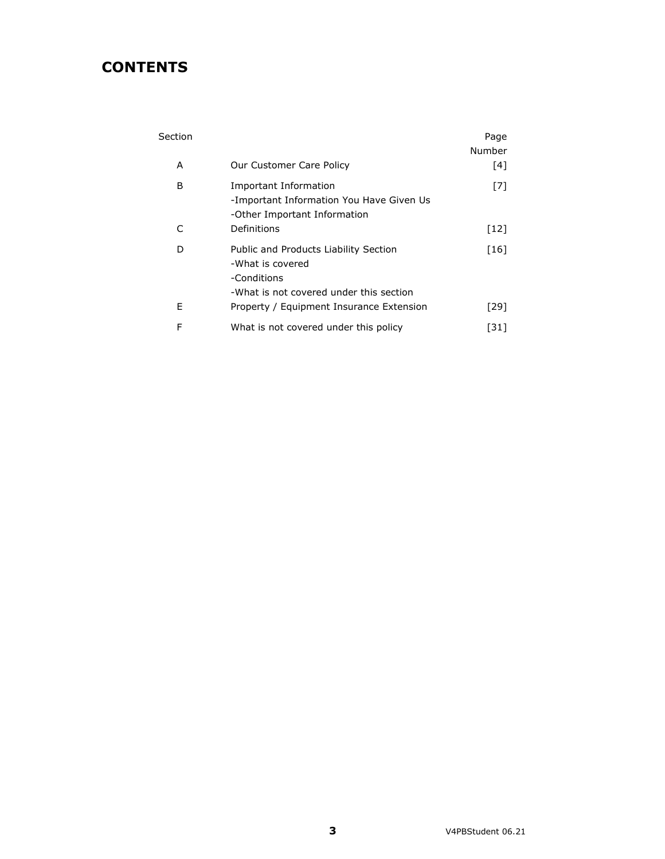# **CONTENTS**

| Section |                                                                                                                     | Page<br>Number |
|---------|---------------------------------------------------------------------------------------------------------------------|----------------|
| A       | Our Customer Care Policy                                                                                            | $[4]$          |
| В       | <b>Important Information</b><br>-Important Information You Have Given Us<br>-Other Important Information            | $[7]$          |
| C       | Definitions                                                                                                         | $[12]$         |
| D       | Public and Products Liability Section<br>-What is covered<br>-Conditions<br>-What is not covered under this section | $[16]$         |
| E       | Property / Equipment Insurance Extension                                                                            | [29]           |
| F       | What is not covered under this policy                                                                               | [31]           |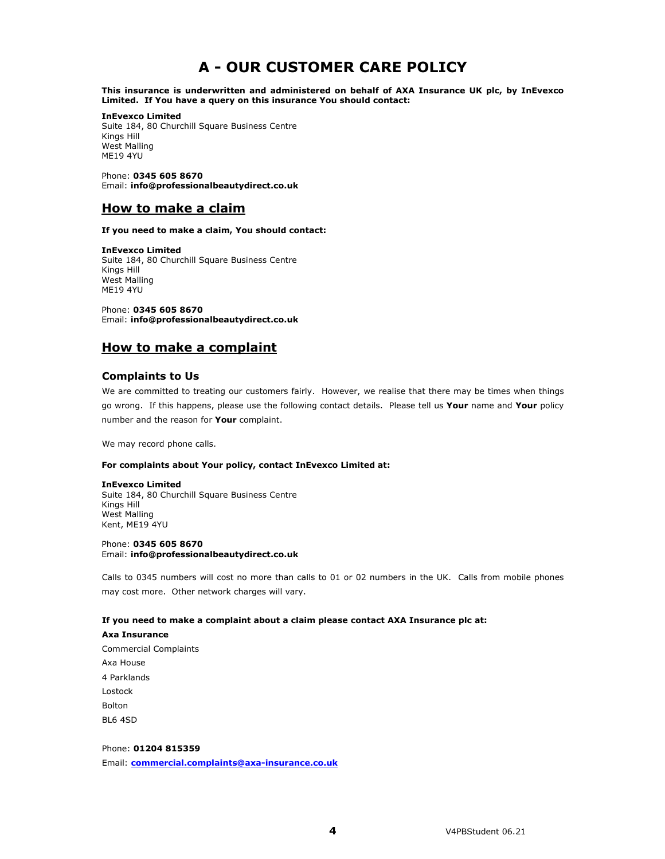# **A - OUR CUSTOMER CARE POLICY**

**This insurance is underwritten and administered on behalf of AXA Insurance UK plc, by InEvexco Limited. If You have a query on this insurance You should contact:** 

#### **InEvexco Limited**

Suite 184, 80 Churchill Square Business Centre Kings Hill West Malling ME19 4YU

Phone: **0345 605 8670**  Email: **info@professionalbeautydirect.co.uk** 

## **How to make a claim**

**If you need to make a claim, You should contact:** 

**InEvexco Limited**  Suite 184, 80 Churchill Square Business Centre Kings Hill West Malling ME19 4YU

Phone: **0345 605 8670**  Email: **info@professionalbeautydirect.co.uk** 

## **How to make a complaint**

#### **Complaints to Us**

We are committed to treating our customers fairly. However, we realise that there may be times when things go wrong. If this happens, please use the following contact details. Please tell us **Your** name and **Your** policy number and the reason for **Your** complaint.

We may record phone calls.

#### **For complaints about Your policy, contact InEvexco Limited at:**

**InEvexco Limited**  Suite 184, 80 Churchill Square Business Centre Kings Hill West Malling

Kent, ME19 4YU Phone: **0345 605 8670**  Email: **info@professionalbeautydirect.co.uk** 

Calls to 0345 numbers will cost no more than calls to 01 or 02 numbers in the UK. Calls from mobile phones may cost more. Other network charges will vary.

#### **If you need to make a complaint about a claim please contact AXA Insurance plc at:**

#### **Axa Insurance**

Commercial Complaints Axa House 4 Parklands Lostock Bolton BL6 4SD

#### Phone: **01204 815359**

Email: **commercial.complaints@axa-insurance.co.uk**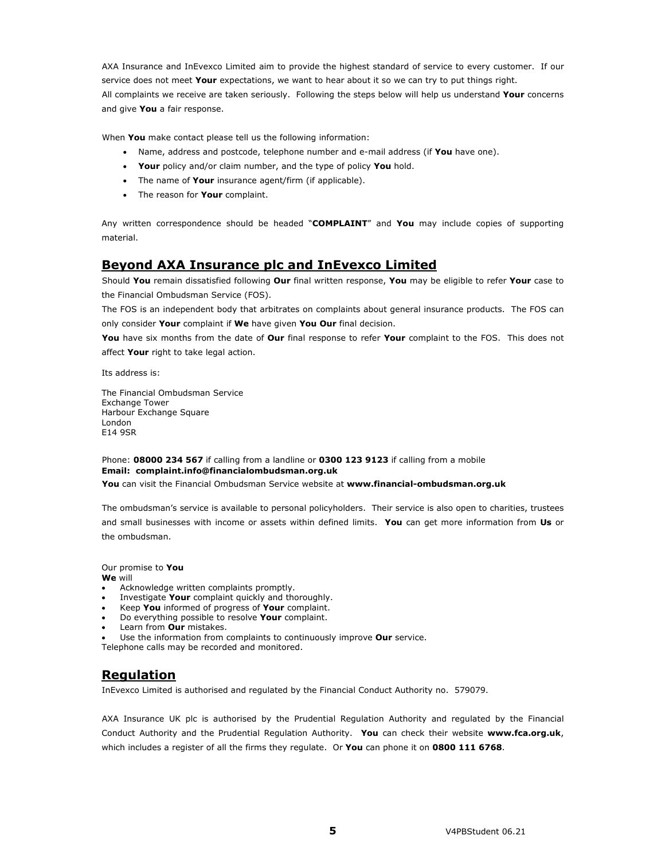AXA Insurance and InEvexco Limited aim to provide the highest standard of service to every customer. If our service does not meet **Your** expectations, we want to hear about it so we can try to put things right. All complaints we receive are taken seriously. Following the steps below will help us understand **Your** concerns and give **You** a fair response.

When **You** make contact please tell us the following information:

- Name, address and postcode, telephone number and e-mail address (if **You** have one).
- **Your** policy and/or claim number, and the type of policy **You** hold.
- The name of **Your** insurance agent/firm (if applicable).
- The reason for **Your** complaint.

Any written correspondence should be headed "**COMPLAINT**" and **You** may include copies of supporting material.

## **Beyond AXA Insurance plc and InEvexco Limited**

Should **You** remain dissatisfied following **Our** final written response, **You** may be eligible to refer **Your** case to the Financial Ombudsman Service (FOS).

The FOS is an independent body that arbitrates on complaints about general insurance products. The FOS can only consider **Your** complaint if **We** have given **You Our** final decision.

**You** have six months from the date of **Our** final response to refer **Your** complaint to the FOS. This does not affect **Your** right to take legal action.

Its address is:

The Financial Ombudsman Service Exchange Tower Harbour Exchange Square London E14 9SR

#### Phone: **08000 234 567** if calling from a landline or **0300 123 9123** if calling from a mobile **Email: complaint.info@financialombudsman.org.uk**

**You** can visit the Financial Ombudsman Service website at **www.financial-ombudsman.org.uk**

The ombudsman's service is available to personal policyholders. Their service is also open to charities, trustees and small businesses with income or assets within defined limits. **You** can get more information from **Us** or the ombudsman.

Our promise to **You** 

**We** will

- Acknowledge written complaints promptly.
- Investigate **Your** complaint quickly and thoroughly.
- Keep **You** informed of progress of **Your** complaint.
- Do everything possible to resolve **Your** complaint.
- Learn from **Our** mistakes.
- Use the information from complaints to continuously improve **Our** service.

Telephone calls may be recorded and monitored.

## **Regulation**

InEvexco Limited is authorised and regulated by the Financial Conduct Authority no. 579079.

AXA Insurance UK plc is authorised by the Prudential Regulation Authority and regulated by the Financial Conduct Authority and the Prudential Regulation Authority. **You** can check their website **www.fca.org.uk**, which includes a register of all the firms they regulate. Or **You** can phone it on **0800 111 6768**.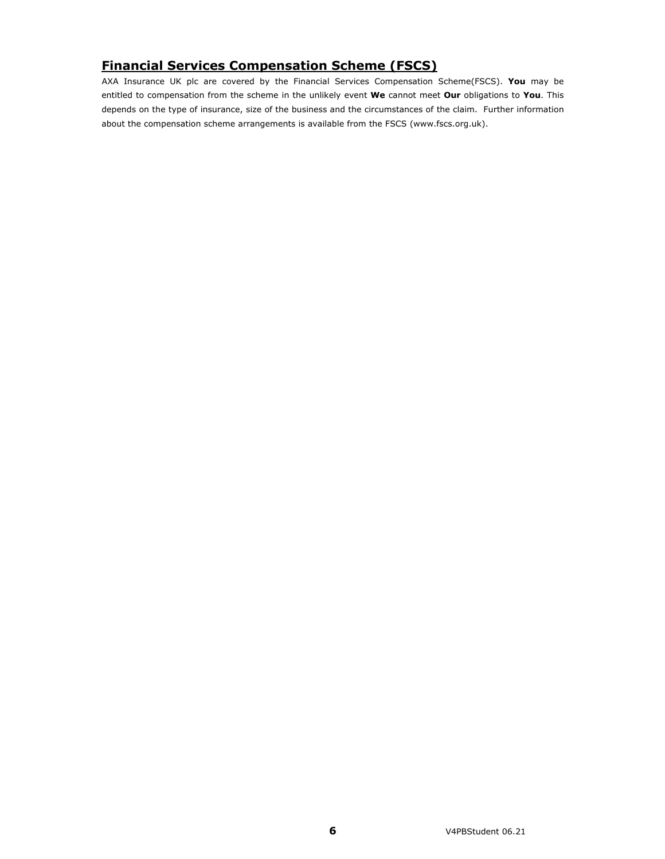# **Financial Services Compensation Scheme (FSCS)**

AXA Insurance UK plc are covered by the Financial Services Compensation Scheme(FSCS). **You** may be entitled to compensation from the scheme in the unlikely event **We** cannot meet **Our** obligations to **You**. This depends on the type of insurance, size of the business and the circumstances of the claim. Further information about the compensation scheme arrangements is available from the FSCS (www.fscs.org.uk).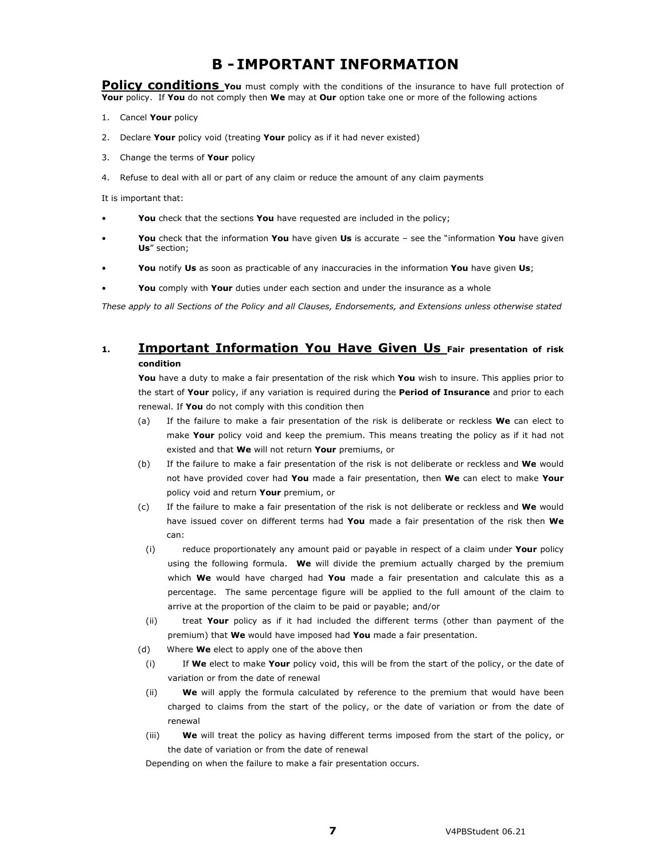# **B - IMPORTANT INFORMATION**

**Policy conditions** You must comply with the conditions of the insurance to have full protection of **Your** policy. If **You** do not comply then **We** may at **Our** option take one or more of the following actions

- 1. Cancel **Your** policy
- 2. Declare **Your** policy void (treating **Your** policy as if it had never existed)
- 3. Change the terms of **Your** policy
- 4. Refuse to deal with all or part of any claim or reduce the amount of any claim payments

It is important that:

- **You** check that the sections **You** have requested are included in the policy;
- **You** check that the information **You** have given **Us** is accurate see the "information **You** have given **Us**" section;
- **You** notify **Us** as soon as practicable of any inaccuracies in the information **You** have given **Us**;
- **You** comply with **Your** duties under each section and under the insurance as a whole

*These apply to all Sections of the Policy and all Clauses, Endorsements, and Extensions unless otherwise stated* 

## **1. Important Information You Have Given Us Fair presentation of risk condition**

**You** have a duty to make a fair presentation of the risk which **You** wish to insure. This applies prior to the start of **Your** policy, if any variation is required during the **Period of Insurance** and prior to each renewal. If **You** do not comply with this condition then

- (a) If the failure to make a fair presentation of the risk is deliberate or reckless **We** can elect to make **Your** policy void and keep the premium. This means treating the policy as if it had not existed and that **We** will not return **Your** premiums, or
- (b) If the failure to make a fair presentation of the risk is not deliberate or reckless and **We** would not have provided cover had **You** made a fair presentation, then **We** can elect to make **Your**  policy void and return **Your** premium, or
- (c) If the failure to make a fair presentation of the risk is not deliberate or reckless and **We** would have issued cover on different terms had **You** made a fair presentation of the risk then **We** can:
	- (i) reduce proportionately any amount paid or payable in respect of a claim under **Your** policy using the following formula. **We** will divide the premium actually charged by the premium which **We** would have charged had **You** made a fair presentation and calculate this as a percentage. The same percentage figure will be applied to the full amount of the claim to arrive at the proportion of the claim to be paid or payable; and/or
- (ii) treat **Your** policy as if it had included the different terms (other than payment of the premium) that **We** would have imposed had **You** made a fair presentation.
- (d) Where **We** elect to apply one of the above then
- (i) If **We** elect to make **Your** policy void, this will be from the start of the policy, or the date of variation or from the date of renewal
- (ii) **We** will apply the formula calculated by reference to the premium that would have been charged to claims from the start of the policy, or the date of variation or from the date of renewal
- (iii) **We** will treat the policy as having different terms imposed from the start of the policy, or the date of variation or from the date of renewal

Depending on when the failure to make a fair presentation occurs.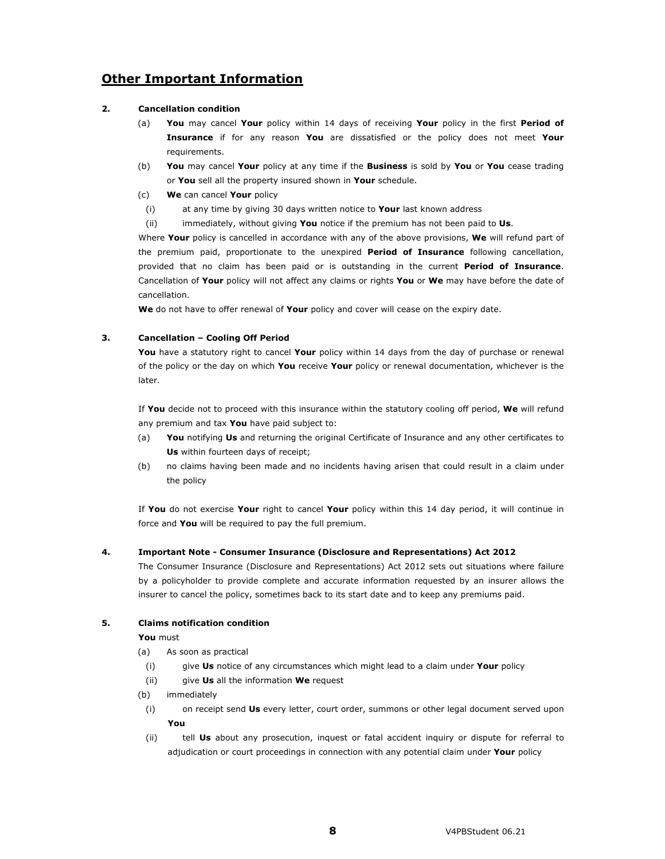# **Other Important Information**

#### **2. Cancellation condition**

- (a) **You** may cancel **Your** policy within 14 days of receiving **Your** policy in the first **Period of Insurance** if for any reason **You** are dissatisfied or the policy does not meet **Your** requirements.
- (b) **You** may cancel **Your** policy at any time if the **Business** is sold by **You** or **You** cease trading or **You** sell all the property insured shown in **Your** schedule.
- (c) **We** can cancel **Your** policy
	- (i) at any time by giving 30 days written notice to **Your** last known address
	- (ii) immediately, without giving **You** notice if the premium has not been paid to **Us**.

Where **Your** policy is cancelled in accordance with any of the above provisions, **We** will refund part of the premium paid, proportionate to the unexpired **Period of Insurance** following cancellation, provided that no claim has been paid or is outstanding in the current **Period of Insurance**. Cancellation of **Your** policy will not affect any claims or rights **You** or **We** may have before the date of cancellation.

**We** do not have to offer renewal of **Your** policy and cover will cease on the expiry date.

#### **3. Cancellation – Cooling Off Period**

**You** have a statutory right to cancel **Your** policy within 14 days from the day of purchase or renewal of the policy or the day on which **You** receive **Your** policy or renewal documentation, whichever is the later.

If **You** decide not to proceed with this insurance within the statutory cooling off period, **We** will refund any premium and tax **You** have paid subject to:

- (a) **You** notifying **Us** and returning the original Certificate of Insurance and any other certificates to **Us** within fourteen days of receipt;
- (b) no claims having been made and no incidents having arisen that could result in a claim under the policy

If **You** do not exercise **Your** right to cancel **Your** policy within this 14 day period, it will continue in force and **You** will be required to pay the full premium.

#### **4. Important Note - Consumer Insurance (Disclosure and Representations) Act 2012**

The Consumer Insurance (Disclosure and Representations) Act 2012 sets out situations where failure by a policyholder to provide complete and accurate information requested by an insurer allows the insurer to cancel the policy, sometimes back to its start date and to keep any premiums paid.

### **5. Claims notification condition**

**You** must

- (a) As soon as practical
	- (i) give **Us** notice of any circumstances which might lead to a claim under **Your** policy
- (ii) give **Us** all the information **We** request
- (b) immediately
	- (i) on receipt send **Us** every letter, court order, summons or other legal document served upon **You**
	- (ii) tell **Us** about any prosecution, inquest or fatal accident inquiry or dispute for referral to adjudication or court proceedings in connection with any potential claim under **Your** policy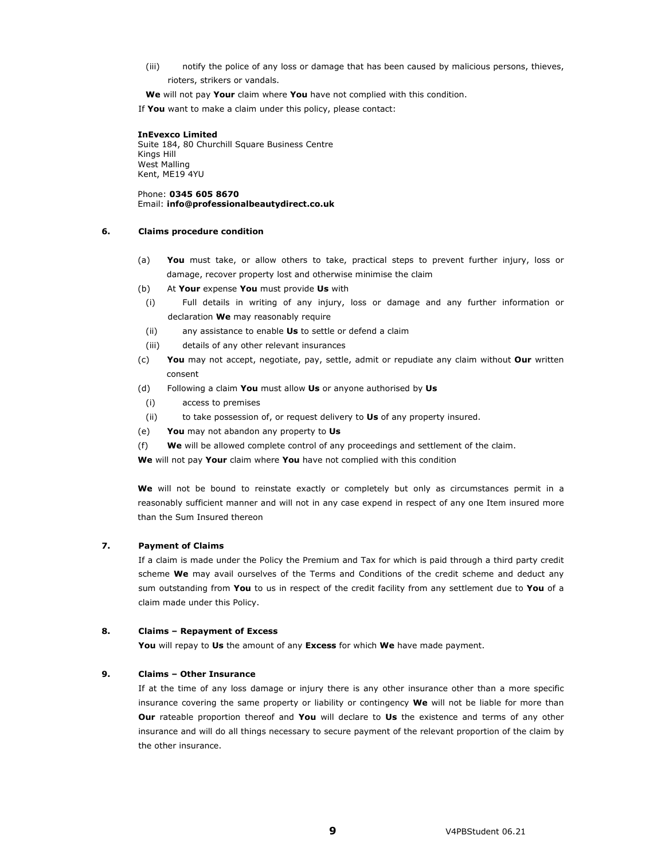(iii) notify the police of any loss or damage that has been caused by malicious persons, thieves, rioters, strikers or vandals.

**We** will not pay **Your** claim where **You** have not complied with this condition.

If **You** want to make a claim under this policy, please contact:

**InEvexco Limited**  Suite 184, 80 Churchill Square Business Centre Kings Hill West Malling Kent, ME19 4YU

Phone: **0345 605 8670**  Email: **info@professionalbeautydirect.co.uk** 

#### **6. Claims procedure condition**

- (a) **You** must take, or allow others to take, practical steps to prevent further injury, loss or damage, recover property lost and otherwise minimise the claim
- (b) At **Your** expense **You** must provide **Us** with
	- (i) Full details in writing of any injury, loss or damage and any further information or declaration **We** may reasonably require
	- (ii) any assistance to enable **Us** to settle or defend a claim
	- (iii) details of any other relevant insurances
- (c) **You** may not accept, negotiate, pay, settle, admit or repudiate any claim without **Our** written consent
- (d) Following a claim **You** must allow **Us** or anyone authorised by **Us**
- (i) access to premises
- (ii) to take possession of, or request delivery to **Us** of any property insured.
- (e) **You** may not abandon any property to **Us**
- (f) **We** will be allowed complete control of any proceedings and settlement of the claim.

**We** will not pay **Your** claim where **You** have not complied with this condition

**We** will not be bound to reinstate exactly or completely but only as circumstances permit in a reasonably sufficient manner and will not in any case expend in respect of any one Item insured more than the Sum Insured thereon

#### **7. Payment of Claims**

If a claim is made under the Policy the Premium and Tax for which is paid through a third party credit scheme **We** may avail ourselves of the Terms and Conditions of the credit scheme and deduct any sum outstanding from **You** to us in respect of the credit facility from any settlement due to **You** of a claim made under this Policy.

#### **8. Claims – Repayment of Excess**

**You** will repay to **Us** the amount of any **Excess** for which **We** have made payment.

#### **9. Claims – Other Insurance**

If at the time of any loss damage or injury there is any other insurance other than a more specific insurance covering the same property or liability or contingency **We** will not be liable for more than **Our** rateable proportion thereof and **You** will declare to **Us** the existence and terms of any other insurance and will do all things necessary to secure payment of the relevant proportion of the claim by the other insurance.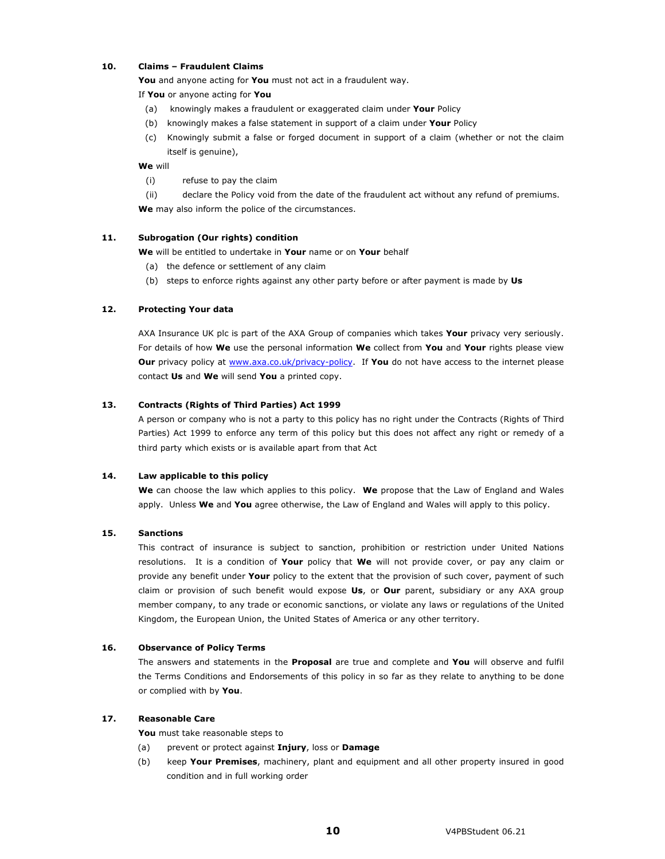#### **10. Claims – Fraudulent Claims**

**You** and anyone acting for **You** must not act in a fraudulent way.

If **You** or anyone acting for **You**

- (a) knowingly makes a fraudulent or exaggerated claim under **Your** Policy
- (b) knowingly makes a false statement in support of a claim under **Your** Policy
- (c) Knowingly submit a false or forged document in support of a claim (whether or not the claim itself is genuine),

#### **We** will

- (i) refuse to pay the claim
- (ii) declare the Policy void from the date of the fraudulent act without any refund of premiums. **We** may also inform the police of the circumstances.

#### **11. Subrogation (Our rights) condition**

**We** will be entitled to undertake in **Your** name or on **Your** behalf

- (a) the defence or settlement of any claim
- (b) steps to enforce rights against any other party before or after payment is made by **Us**

#### **12. Protecting Your data**

AXA Insurance UK plc is part of the AXA Group of companies which takes **Your** privacy very seriously. For details of how **We** use the personal information **We** collect from **You** and **Your** rights please view **Our** privacy policy at www.axa.co.uk/privacy-policy. If **You** do not have access to the internet please contact **Us** and **We** will send **You** a printed copy.

#### **13. Contracts (Rights of Third Parties) Act 1999**

A person or company who is not a party to this policy has no right under the Contracts (Rights of Third Parties) Act 1999 to enforce any term of this policy but this does not affect any right or remedy of a third party which exists or is available apart from that Act

#### **14. Law applicable to this policy**

**We** can choose the law which applies to this policy. **We** propose that the Law of England and Wales apply. Unless **We** and **You** agree otherwise, the Law of England and Wales will apply to this policy.

#### **15. Sanctions**

This contract of insurance is subject to sanction, prohibition or restriction under United Nations resolutions. It is a condition of **Your** policy that **We** will not provide cover, or pay any claim or provide any benefit under **Your** policy to the extent that the provision of such cover, payment of such claim or provision of such benefit would expose **Us**, or **Our** parent, subsidiary or any AXA group member company, to any trade or economic sanctions, or violate any laws or regulations of the United Kingdom, the European Union, the United States of America or any other territory.

#### **16. Observance of Policy Terms**

The answers and statements in the **Proposal** are true and complete and **You** will observe and fulfil the Terms Conditions and Endorsements of this policy in so far as they relate to anything to be done or complied with by **You**.

#### **17. Reasonable Care**

**You** must take reasonable steps to

- (a) prevent or protect against **Injury**, loss or **Damage**
- (b) keep **Your Premises**, machinery, plant and equipment and all other property insured in good condition and in full working order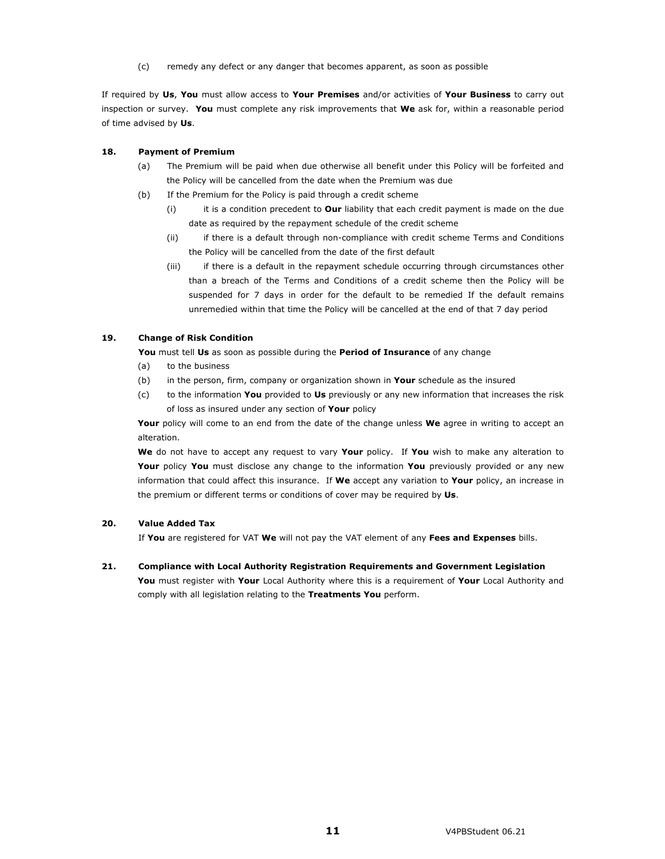(c) remedy any defect or any danger that becomes apparent, as soon as possible

If required by **Us**, **You** must allow access to **Your Premises** and/or activities of **Your Business** to carry out inspection or survey. **You** must complete any risk improvements that **We** ask for, within a reasonable period of time advised by **Us**.

#### **18. Payment of Premium**

- (a) The Premium will be paid when due otherwise all benefit under this Policy will be forfeited and the Policy will be cancelled from the date when the Premium was due
- (b) If the Premium for the Policy is paid through a credit scheme
	- (i) it is a condition precedent to **Our** liability that each credit payment is made on the due date as required by the repayment schedule of the credit scheme
	- (ii) if there is a default through non-compliance with credit scheme Terms and Conditions the Policy will be cancelled from the date of the first default
	- (iii) if there is a default in the repayment schedule occurring through circumstances other than a breach of the Terms and Conditions of a credit scheme then the Policy will be suspended for 7 days in order for the default to be remedied If the default remains unremedied within that time the Policy will be cancelled at the end of that 7 day period

#### **19. Change of Risk Condition**

**You** must tell **Us** as soon as possible during the **Period of Insurance** of any change

- (a) to the business
- (b) in the person, firm, company or organization shown in **Your** schedule as the insured
- (c) to the information **You** provided to **Us** previously or any new information that increases the risk of loss as insured under any section of **Your** policy

Your policy will come to an end from the date of the change unless We agree in writing to accept an alteration.

**We** do not have to accept any request to vary **Your** policy. If **You** wish to make any alteration to **Your** policy **You** must disclose any change to the information **You** previously provided or any new information that could affect this insurance. If **We** accept any variation to **Your** policy, an increase in the premium or different terms or conditions of cover may be required by **Us**.

#### **20. Value Added Tax**

If **You** are registered for VAT **We** will not pay the VAT element of any **Fees and Expenses** bills.

**21. Compliance with Local Authority Registration Requirements and Government Legislation** 

**You** must register with **Your** Local Authority where this is a requirement of **Your** Local Authority and comply with all legislation relating to the **Treatments You** perform.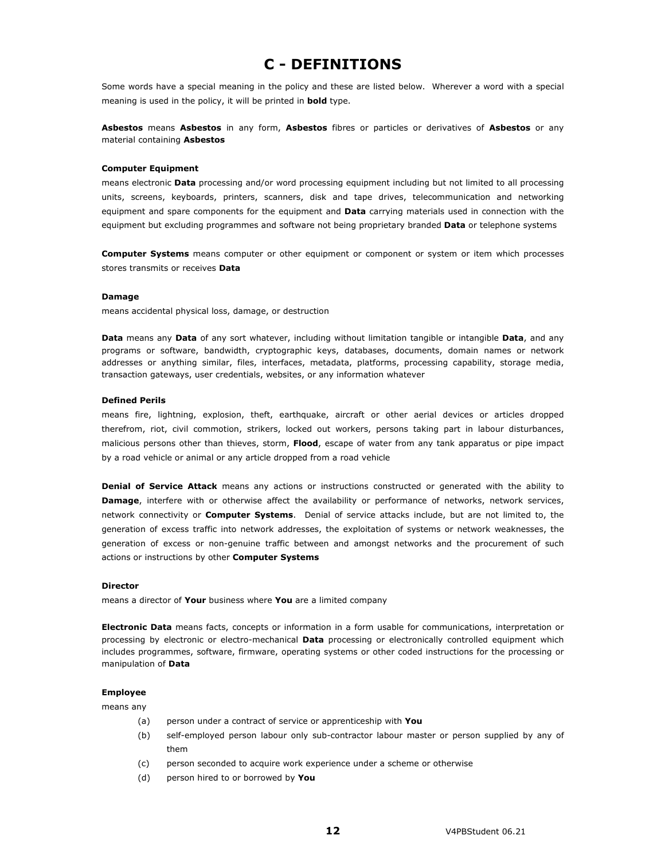# **C - DEFINITIONS**

Some words have a special meaning in the policy and these are listed below. Wherever a word with a special meaning is used in the policy, it will be printed in **bold** type.

**Asbestos** means **Asbestos** in any form, **Asbestos** fibres or particles or derivatives of **Asbestos** or any material containing **Asbestos** 

#### **Computer Equipment**

means electronic **Data** processing and/or word processing equipment including but not limited to all processing units, screens, keyboards, printers, scanners, disk and tape drives, telecommunication and networking equipment and spare components for the equipment and **Data** carrying materials used in connection with the equipment but excluding programmes and software not being proprietary branded **Data** or telephone systems

**Computer Systems** means computer or other equipment or component or system or item which processes stores transmits or receives **Data**

#### **Damage**

means accidental physical loss, damage, or destruction

**Data** means any **Data** of any sort whatever, including without limitation tangible or intangible **Data**, and any programs or software, bandwidth, cryptographic keys, databases, documents, domain names or network addresses or anything similar, files, interfaces, metadata, platforms, processing capability, storage media, transaction gateways, user credentials, websites, or any information whatever

#### **Defined Perils**

means fire, lightning, explosion, theft, earthquake, aircraft or other aerial devices or articles dropped therefrom, riot, civil commotion, strikers, locked out workers, persons taking part in labour disturbances, malicious persons other than thieves, storm, **Flood**, escape of water from any tank apparatus or pipe impact by a road vehicle or animal or any article dropped from a road vehicle

**Denial of Service Attack** means any actions or instructions constructed or generated with the ability to **Damage**, interfere with or otherwise affect the availability or performance of networks, network services, network connectivity or **Computer Systems**. Denial of service attacks include, but are not limited to, the generation of excess traffic into network addresses, the exploitation of systems or network weaknesses, the generation of excess or non-genuine traffic between and amongst networks and the procurement of such actions or instructions by other **Computer Systems**

#### **Director**

means a director of **Your** business where **You** are a limited company

**Electronic Data** means facts, concepts or information in a form usable for communications, interpretation or processing by electronic or electro-mechanical **Data** processing or electronically controlled equipment which includes programmes, software, firmware, operating systems or other coded instructions for the processing or manipulation of **Data** 

#### **Employee**

means any

- (a) person under a contract of service or apprenticeship with **You**
- (b) self-employed person labour only sub-contractor labour master or person supplied by any of them
- (c) person seconded to acquire work experience under a scheme or otherwise
- (d) person hired to or borrowed by **You**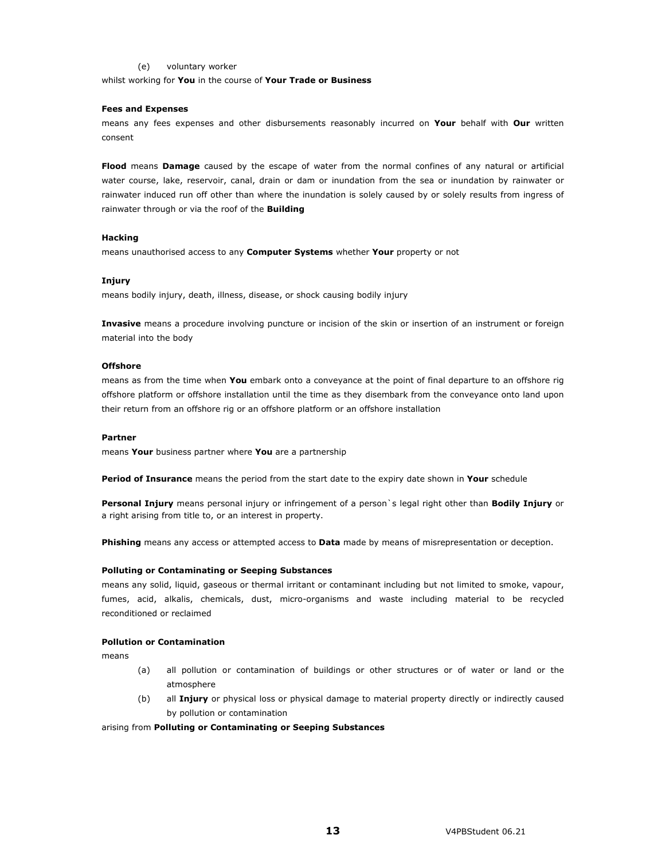#### (e) voluntary worker

whilst working for **You** in the course of **Your Trade or Business** 

#### **Fees and Expenses**

means any fees expenses and other disbursements reasonably incurred on **Your** behalf with **Our** written consent

**Flood** means **Damage** caused by the escape of water from the normal confines of any natural or artificial water course, lake, reservoir, canal, drain or dam or inundation from the sea or inundation by rainwater or rainwater induced run off other than where the inundation is solely caused by or solely results from ingress of rainwater through or via the roof of the **Building**

#### **Hacking**

means unauthorised access to any **Computer Systems** whether **Your** property or not

#### **Injury**

means bodily injury, death, illness, disease, or shock causing bodily injury

**Invasive** means a procedure involving puncture or incision of the skin or insertion of an instrument or foreign material into the body

#### **Offshore**

means as from the time when **You** embark onto a conveyance at the point of final departure to an offshore rig offshore platform or offshore installation until the time as they disembark from the conveyance onto land upon their return from an offshore rig or an offshore platform or an offshore installation

#### **Partner**

means **Your** business partner where **You** are a partnership

**Period of Insurance** means the period from the start date to the expiry date shown in **Your** schedule

**Personal Injury** means personal injury or infringement of a person`s legal right other than **Bodily Injury** or a right arising from title to, or an interest in property.

**Phishing** means any access or attempted access to **Data** made by means of misrepresentation or deception.

#### **Polluting or Contaminating or Seeping Substances**

means any solid, liquid, gaseous or thermal irritant or contaminant including but not limited to smoke, vapour, fumes, acid, alkalis, chemicals, dust, micro-organisms and waste including material to be recycled reconditioned or reclaimed

#### **Pollution or Contamination**

means

- (a) all pollution or contamination of buildings or other structures or of water or land or the atmosphere
- (b) all **Injury** or physical loss or physical damage to material property directly or indirectly caused by pollution or contamination

arising from **Polluting or Contaminating or Seeping Substances**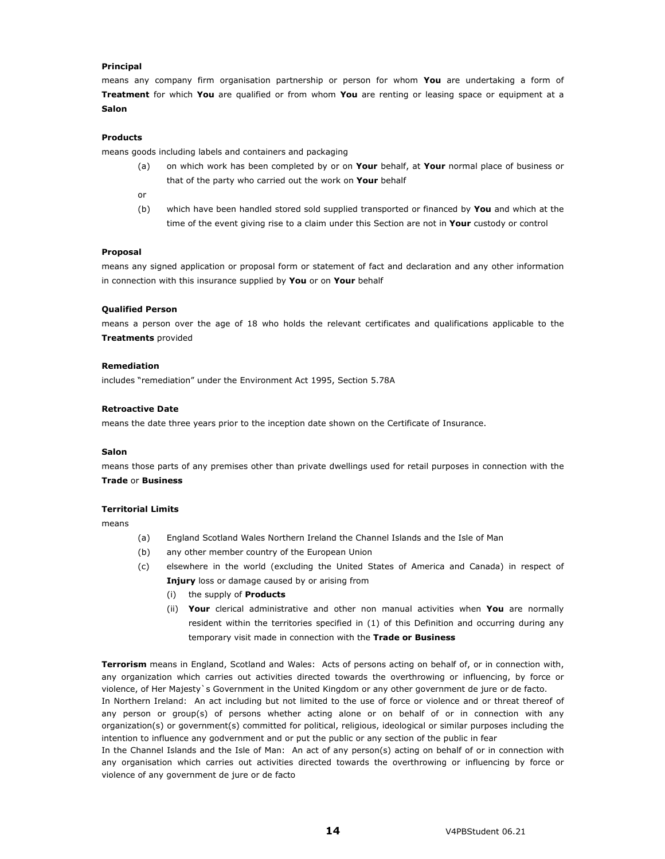#### **Principal**

means any company firm organisation partnership or person for whom **You** are undertaking a form of **Treatment** for which **You** are qualified or from whom **You** are renting or leasing space or equipment at a **Salon**

#### **Products**

means goods including labels and containers and packaging

- (a) on which work has been completed by or on **Your** behalf, at **Your** normal place of business or that of the party who carried out the work on **Your** behalf
- or
- (b) which have been handled stored sold supplied transported or financed by **You** and which at the time of the event giving rise to a claim under this Section are not in **Your** custody or control

#### **Proposal**

means any signed application or proposal form or statement of fact and declaration and any other information in connection with this insurance supplied by **You** or on **Your** behalf

#### **Qualified Person**

means a person over the age of 18 who holds the relevant certificates and qualifications applicable to the **Treatments** provided

#### **Remediation**

includes "remediation" under the Environment Act 1995, Section 5.78A

#### **Retroactive Date**

means the date three years prior to the inception date shown on the Certificate of Insurance.

#### **Salon**

means those parts of any premises other than private dwellings used for retail purposes in connection with the **Trade** or **Business**

#### **Territorial Limits**

means

- (a) England Scotland Wales Northern Ireland the Channel Islands and the Isle of Man
- (b) any other member country of the European Union
- (c) elsewhere in the world (excluding the United States of America and Canada) in respect of **Injury** loss or damage caused by or arising from
	- (i) the supply of **Products**
	- (ii) **Your** clerical administrative and other non manual activities when **You** are normally resident within the territories specified in (1) of this Definition and occurring during any temporary visit made in connection with the **Trade or Business**

**Terrorism** means in England, Scotland and Wales: Acts of persons acting on behalf of, or in connection with, any organization which carries out activities directed towards the overthrowing or influencing, by force or violence, of Her Majesty`s Government in the United Kingdom or any other government de jure or de facto.

In Northern Ireland: An act including but not limited to the use of force or violence and or threat thereof of any person or group(s) of persons whether acting alone or on behalf of or in connection with any organization(s) or government(s) committed for political, religious, ideological or similar purposes including the intention to influence any godvernment and or put the public or any section of the public in fear

In the Channel Islands and the Isle of Man: An act of any person(s) acting on behalf of or in connection with any organisation which carries out activities directed towards the overthrowing or influencing by force or violence of any government de jure or de facto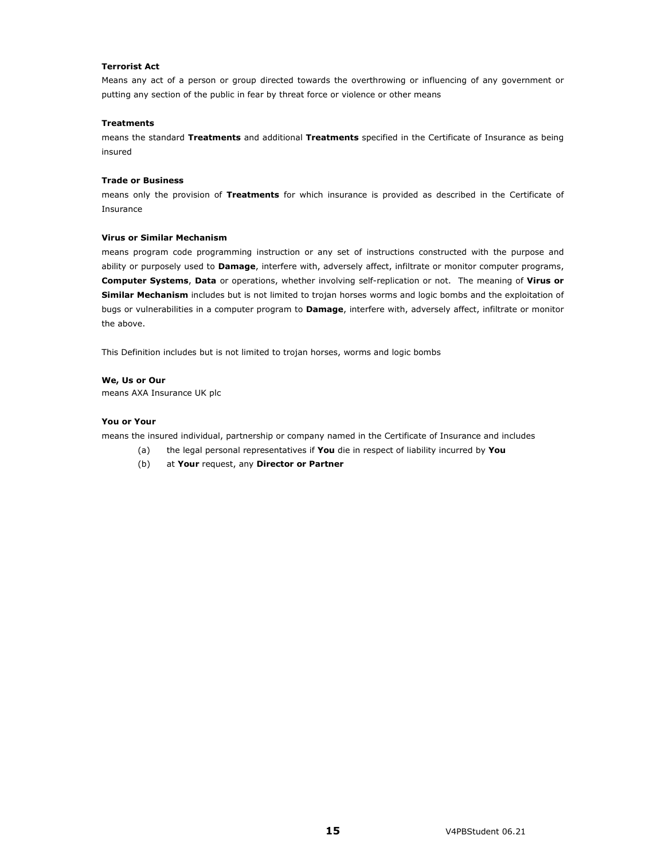#### **Terrorist Act**

Means any act of a person or group directed towards the overthrowing or influencing of any government or putting any section of the public in fear by threat force or violence or other means

#### **Treatments**

means the standard **Treatments** and additional **Treatments** specified in the Certificate of Insurance as being insured

#### **Trade or Business**

means only the provision of **Treatments** for which insurance is provided as described in the Certificate of Insurance

#### **Virus or Similar Mechanism**

means program code programming instruction or any set of instructions constructed with the purpose and ability or purposely used to **Damage**, interfere with, adversely affect, infiltrate or monitor computer programs, **Computer Systems**, **Data** or operations, whether involving self-replication or not. The meaning of **Virus or Similar Mechanism** includes but is not limited to trojan horses worms and logic bombs and the exploitation of bugs or vulnerabilities in a computer program to **Damage**, interfere with, adversely affect, infiltrate or monitor the above.

This Definition includes but is not limited to trojan horses, worms and logic bombs

#### **We, Us or Our**

means AXA Insurance UK plc

#### **You or Your**

means the insured individual, partnership or company named in the Certificate of Insurance and includes

- (a) the legal personal representatives if **You** die in respect of liability incurred by **You**
- (b) at **Your** request, any **Director or Partner**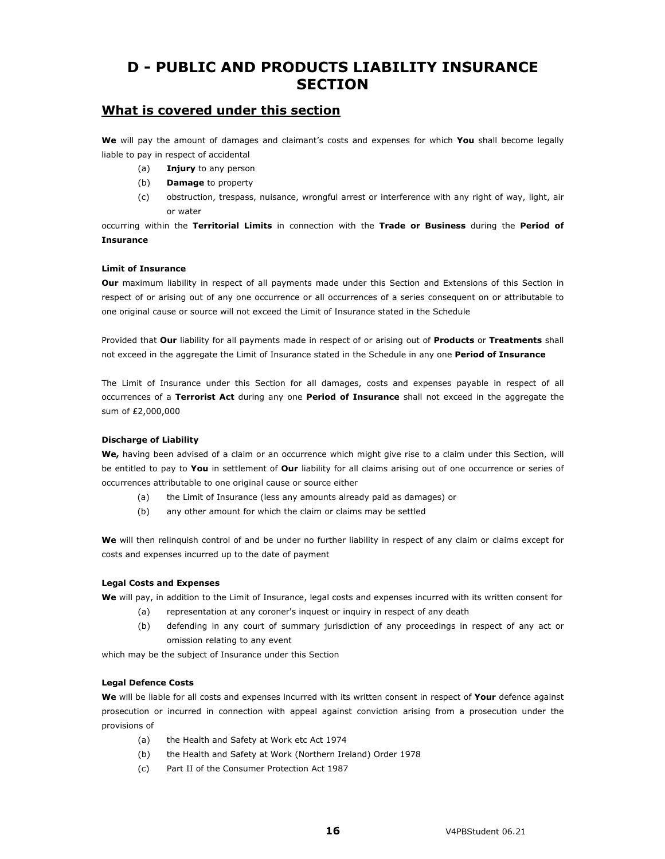# **D - PUBLIC AND PRODUCTS LIABILITY INSURANCE SECTION**

## **What is covered under this section**

**We** will pay the amount of damages and claimant's costs and expenses for which **You** shall become legally liable to pay in respect of accidental

- (a) **Injury** to any person
- (b) **Damage** to property
- (c) obstruction, trespass, nuisance, wrongful arrest or interference with any right of way, light, air or water

occurring within the **Territorial Limits** in connection with the **Trade or Business** during the **Period of Insurance** 

#### **Limit of Insurance**

**Our** maximum liability in respect of all payments made under this Section and Extensions of this Section in respect of or arising out of any one occurrence or all occurrences of a series consequent on or attributable to one original cause or source will not exceed the Limit of Insurance stated in the Schedule

Provided that **Our** liability for all payments made in respect of or arising out of **Products** or **Treatments** shall not exceed in the aggregate the Limit of Insurance stated in the Schedule in any one **Period of Insurance**

The Limit of Insurance under this Section for all damages, costs and expenses payable in respect of all occurrences of a **Terrorist Act** during any one **Period of Insurance** shall not exceed in the aggregate the sum of £2,000,000

#### **Discharge of Liability**

**We,** having been advised of a claim or an occurrence which might give rise to a claim under this Section, will be entitled to pay to **You** in settlement of **Our** liability for all claims arising out of one occurrence or series of occurrences attributable to one original cause or source either

- (a) the Limit of Insurance (less any amounts already paid as damages) or
- (b) any other amount for which the claim or claims may be settled

**We** will then relinquish control of and be under no further liability in respect of any claim or claims except for costs and expenses incurred up to the date of payment

#### **Legal Costs and Expenses**

**We** will pay, in addition to the Limit of Insurance, legal costs and expenses incurred with its written consent for

- (a) representation at any coroner's inquest or inquiry in respect of any death
- (b) defending in any court of summary jurisdiction of any proceedings in respect of any act or omission relating to any event

which may be the subject of Insurance under this Section

#### **Legal Defence Costs**

**We** will be liable for all costs and expenses incurred with its written consent in respect of **Your** defence against prosecution or incurred in connection with appeal against conviction arising from a prosecution under the provisions of

- (a) the Health and Safety at Work etc Act 1974
- (b) the Health and Safety at Work (Northern Ireland) Order 1978
- (c) Part II of the Consumer Protection Act 1987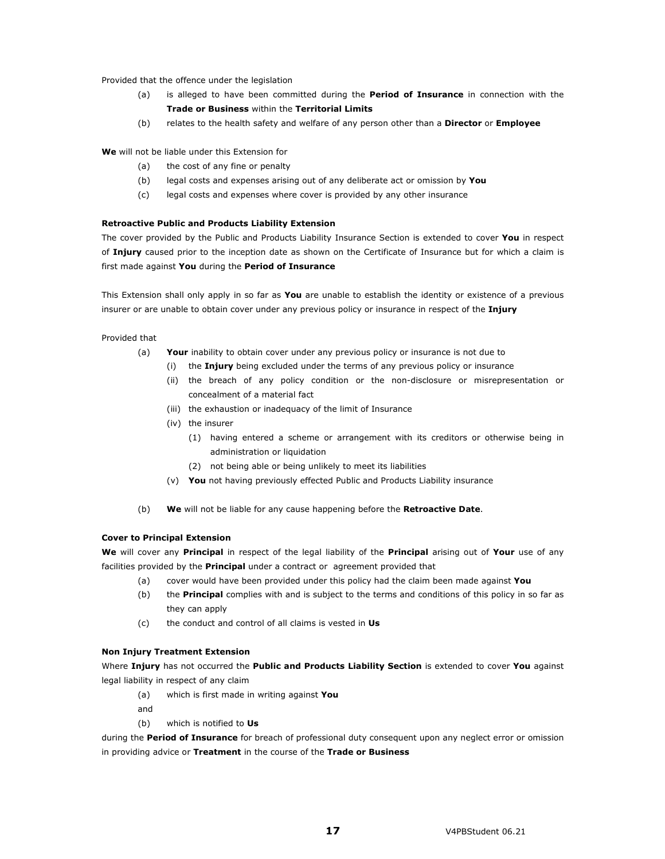Provided that the offence under the legislation

- (a) is alleged to have been committed during the **Period of Insurance** in connection with the **Trade or Business** within the **Territorial Limits**
- (b) relates to the health safety and welfare of any person other than a **Director** or **Employee**

**We** will not be liable under this Extension for

- (a) the cost of any fine or penalty
- (b) legal costs and expenses arising out of any deliberate act or omission by **You**
- (c) legal costs and expenses where cover is provided by any other insurance

#### **Retroactive Public and Products Liability Extension**

The cover provided by the Public and Products Liability Insurance Section is extended to cover **You** in respect of **Injury** caused prior to the inception date as shown on the Certificate of Insurance but for which a claim is first made against **You** during the **Period of Insurance**

This Extension shall only apply in so far as **You** are unable to establish the identity or existence of a previous insurer or are unable to obtain cover under any previous policy or insurance in respect of the **Injury**

Provided that

- (a) **Your** inability to obtain cover under any previous policy or insurance is not due to
	- (i) the **Injury** being excluded under the terms of any previous policy or insurance
	- (ii) the breach of any policy condition or the non-disclosure or misrepresentation or concealment of a material fact
	- (iii) the exhaustion or inadequacy of the limit of Insurance
	- (iv) the insurer
		- (1) having entered a scheme or arrangement with its creditors or otherwise being in administration or liquidation
		- (2) not being able or being unlikely to meet its liabilities
	- (v) **You** not having previously effected Public and Products Liability insurance
- (b) **We** will not be liable for any cause happening before the **Retroactive Date**.

#### **Cover to Principal Extension**

**We** will cover any **Principal** in respect of the legal liability of the **Principal** arising out of **Your** use of any facilities provided by the **Principal** under a contract or agreement provided that

- (a) cover would have been provided under this policy had the claim been made against **You**
- (b) the **Principal** complies with and is subject to the terms and conditions of this policy in so far as they can apply
- (c) the conduct and control of all claims is vested in **Us**

#### **Non Injury Treatment Extension**

Where **Injury** has not occurred the **Public and Products Liability Section** is extended to cover **You** against legal liability in respect of any claim

- (a) which is first made in writing against **You**
- and
- (b) which is notified to **Us**

during the **Period of Insurance** for breach of professional duty consequent upon any neglect error or omission in providing advice or **Treatment** in the course of the **Trade or Business**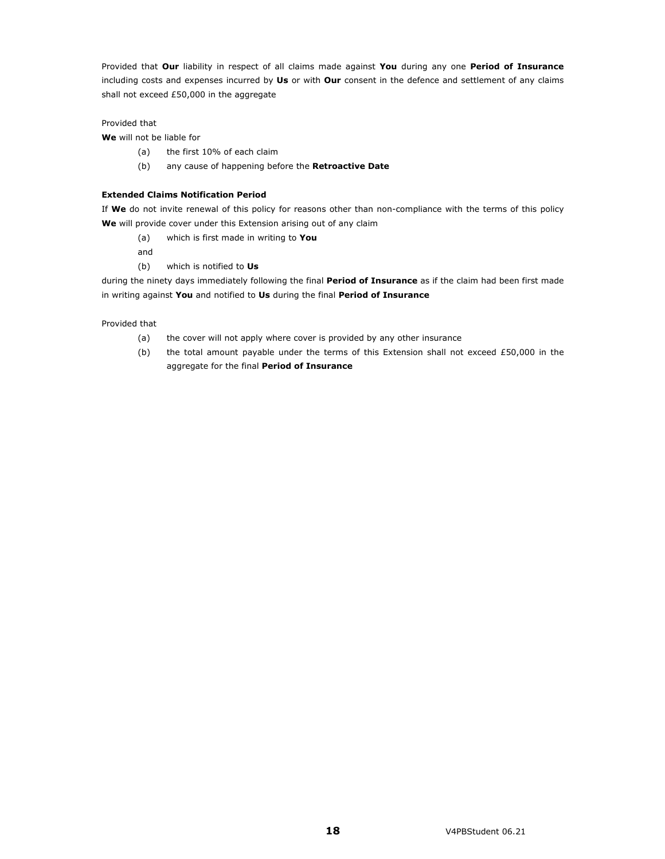Provided that **Our** liability in respect of all claims made against **You** during any one **Period of Insurance** including costs and expenses incurred by **Us** or with **Our** consent in the defence and settlement of any claims shall not exceed £50,000 in the aggregate

#### Provided that

**We** will not be liable for

- (a) the first 10% of each claim
- (b) any cause of happening before the **Retroactive Date**

#### **Extended Claims Notification Period**

If **We** do not invite renewal of this policy for reasons other than non-compliance with the terms of this policy **We** will provide cover under this Extension arising out of any claim

(a) which is first made in writing to **You**

and

(b) which is notified to **Us**

during the ninety days immediately following the final **Period of Insurance** as if the claim had been first made in writing against **You** and notified to **Us** during the final **Period of Insurance**

Provided that

- (a) the cover will not apply where cover is provided by any other insurance
- (b) the total amount payable under the terms of this Extension shall not exceed £50,000 in the aggregate for the final **Period of Insurance**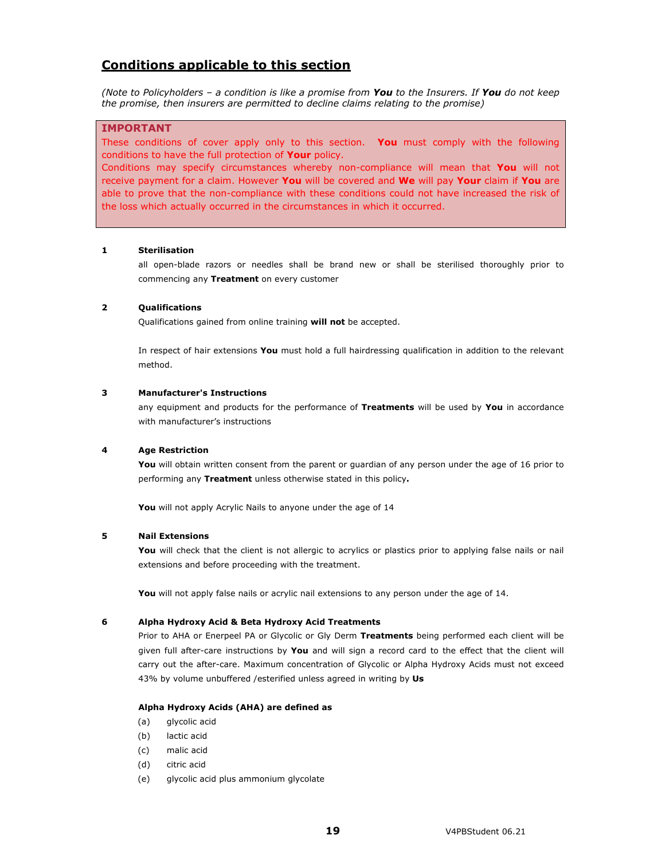## **Conditions applicable to this section**

*(Note to Policyholders – a condition is like a promise from You to the Insurers. If You do not keep the promise, then insurers are permitted to decline claims relating to the promise)* 

#### **IMPORTANT**

These conditions of cover apply only to this section. **You** must comply with the following conditions to have the full protection of **Your** policy.

Conditions may specify circumstances whereby non-compliance will mean that **You** will not receive payment for a claim. However **You** will be covered and **We** will pay **Your** claim if **You** are able to prove that the non-compliance with these conditions could not have increased the risk of the loss which actually occurred in the circumstances in which it occurred.

#### **1 Sterilisation**

all open-blade razors or needles shall be brand new or shall be sterilised thoroughly prior to commencing any **Treatment** on every customer

#### **2 Qualifications**

Qualifications gained from online training **will not** be accepted.

In respect of hair extensions **You** must hold a full hairdressing qualification in addition to the relevant method.

#### **3 Manufacturer's Instructions**

any equipment and products for the performance of **Treatments** will be used by **You** in accordance with manufacturer's instructions

#### **4 Age Restriction**

You will obtain written consent from the parent or guardian of any person under the age of 16 prior to performing any **Treatment** unless otherwise stated in this policy**.** 

 **You** will not apply Acrylic Nails to anyone under the age of 14

#### **5 Nail Extensions**

You will check that the client is not allergic to acrylics or plastics prior to applying false nails or nail extensions and before proceeding with the treatment.

**You** will not apply false nails or acrylic nail extensions to any person under the age of 14.

#### **6 Alpha Hydroxy Acid & Beta Hydroxy Acid Treatments**

Prior to AHA or Enerpeel PA or Glycolic or Gly Derm **Treatments** being performed each client will be given full after-care instructions by **You** and will sign a record card to the effect that the client will carry out the after-care. Maximum concentration of Glycolic or Alpha Hydroxy Acids must not exceed 43% by volume unbuffered /esterified unless agreed in writing by **Us** 

#### **Alpha Hydroxy Acids (AHA) are defined as**

- (a) glycolic acid
- (b) lactic acid
- (c) malic acid
- (d) citric acid
- (e) glycolic acid plus ammonium glycolate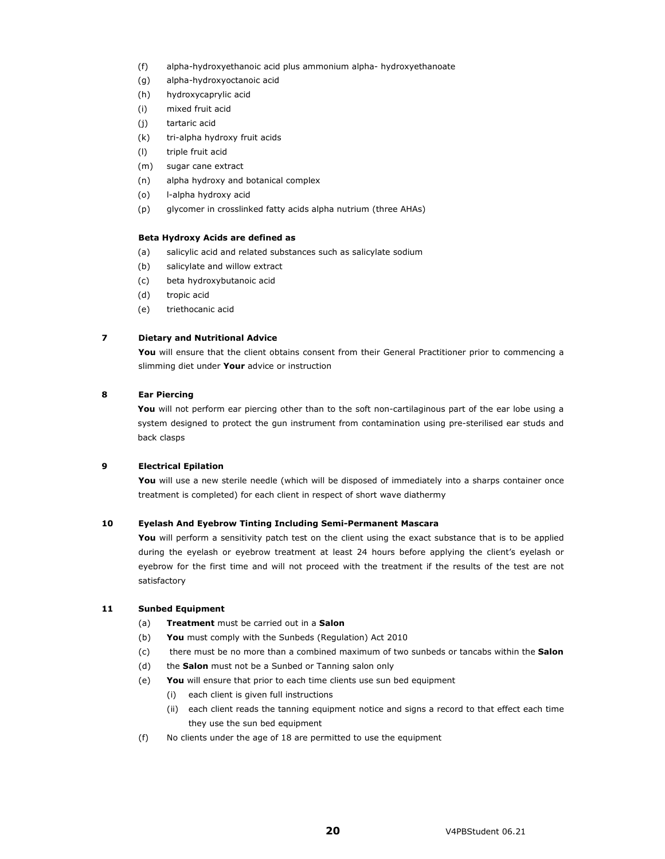- (f) alpha-hydroxyethanoic acid plus ammonium alpha- hydroxyethanoate
- (g) alpha-hydroxyoctanoic acid
- (h) hydroxycaprylic acid
- (i) mixed fruit acid
- (j) tartaric acid
- (k) tri-alpha hydroxy fruit acids
- (l) triple fruit acid
- (m) sugar cane extract
- (n) alpha hydroxy and botanical complex
- (o) l-alpha hydroxy acid
- (p) glycomer in crosslinked fatty acids alpha nutrium (three AHAs)

#### **Beta Hydroxy Acids are defined as**

- (a) salicylic acid and related substances such as salicylate sodium
- (b) salicylate and willow extract
- (c) beta hydroxybutanoic acid
- (d) tropic acid
- (e) triethocanic acid

#### **7 Dietary and Nutritional Advice**

You will ensure that the client obtains consent from their General Practitioner prior to commencing a slimming diet under **Your** advice or instruction

#### **8 Ear Piercing**

You will not perform ear piercing other than to the soft non-cartilaginous part of the ear lobe using a system designed to protect the gun instrument from contamination using pre-sterilised ear studs and back clasps

#### **9 Electrical Epilation**

You will use a new sterile needle (which will be disposed of immediately into a sharps container once treatment is completed) for each client in respect of short wave diathermy

#### **10 Eyelash And Eyebrow Tinting Including Semi-Permanent Mascara**

You will perform a sensitivity patch test on the client using the exact substance that is to be applied during the eyelash or eyebrow treatment at least 24 hours before applying the client's eyelash or eyebrow for the first time and will not proceed with the treatment if the results of the test are not satisfactory

#### **11 Sunbed Equipment**

- (a) **Treatment** must be carried out in a **Salon**
- (b) **You** must comply with the Sunbeds (Regulation) Act 2010
- (c) there must be no more than a combined maximum of two sunbeds or tancabs within the **Salon**
- (d) the **Salon** must not be a Sunbed or Tanning salon only
- (e) **You** will ensure that prior to each time clients use sun bed equipment
	- (i) each client is given full instructions
	- (ii) each client reads the tanning equipment notice and signs a record to that effect each time they use the sun bed equipment
- (f) No clients under the age of 18 are permitted to use the equipment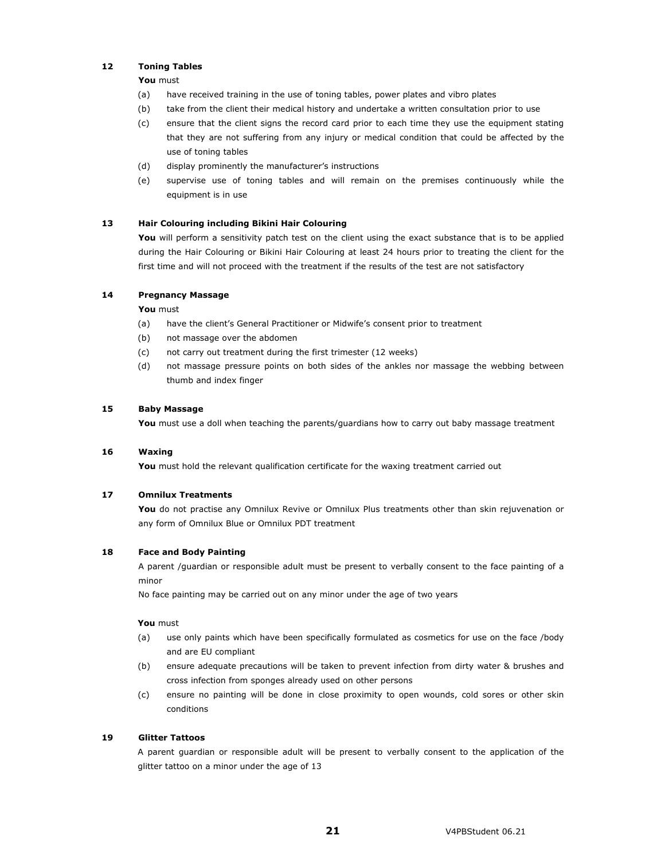#### **12 Toning Tables**

#### **You** must

- (a) have received training in the use of toning tables, power plates and vibro plates
- (b) take from the client their medical history and undertake a written consultation prior to use
- (c) ensure that the client signs the record card prior to each time they use the equipment stating that they are not suffering from any injury or medical condition that could be affected by the use of toning tables
- (d) display prominently the manufacturer's instructions
- (e) supervise use of toning tables and will remain on the premises continuously while the equipment is in use

#### **13 Hair Colouring including Bikini Hair Colouring**

You will perform a sensitivity patch test on the client using the exact substance that is to be applied during the Hair Colouring or Bikini Hair Colouring at least 24 hours prior to treating the client for the first time and will not proceed with the treatment if the results of the test are not satisfactory

#### **14 Pregnancy Massage**

#### **You** must

- (a) have the client's General Practitioner or Midwife's consent prior to treatment
- (b) not massage over the abdomen
- (c) not carry out treatment during the first trimester (12 weeks)
- (d) not massage pressure points on both sides of the ankles nor massage the webbing between thumb and index finger

#### **15 Baby Massage**

You must use a doll when teaching the parents/guardians how to carry out baby massage treatment

#### **16 Waxing**

You must hold the relevant qualification certificate for the waxing treatment carried out

#### **17 Omnilux Treatments**

You do not practise any Omnilux Revive or Omnilux Plus treatments other than skin rejuvenation or any form of Omnilux Blue or Omnilux PDT treatment

#### **18 Face and Body Painting**

A parent /guardian or responsible adult must be present to verbally consent to the face painting of a minor

No face painting may be carried out on any minor under the age of two years

#### **You** must

- (a) use only paints which have been specifically formulated as cosmetics for use on the face /body and are EU compliant
- (b) ensure adequate precautions will be taken to prevent infection from dirty water & brushes and cross infection from sponges already used on other persons
- (c) ensure no painting will be done in close proximity to open wounds, cold sores or other skin conditions

#### **19 Glitter Tattoos**

A parent guardian or responsible adult will be present to verbally consent to the application of the glitter tattoo on a minor under the age of 13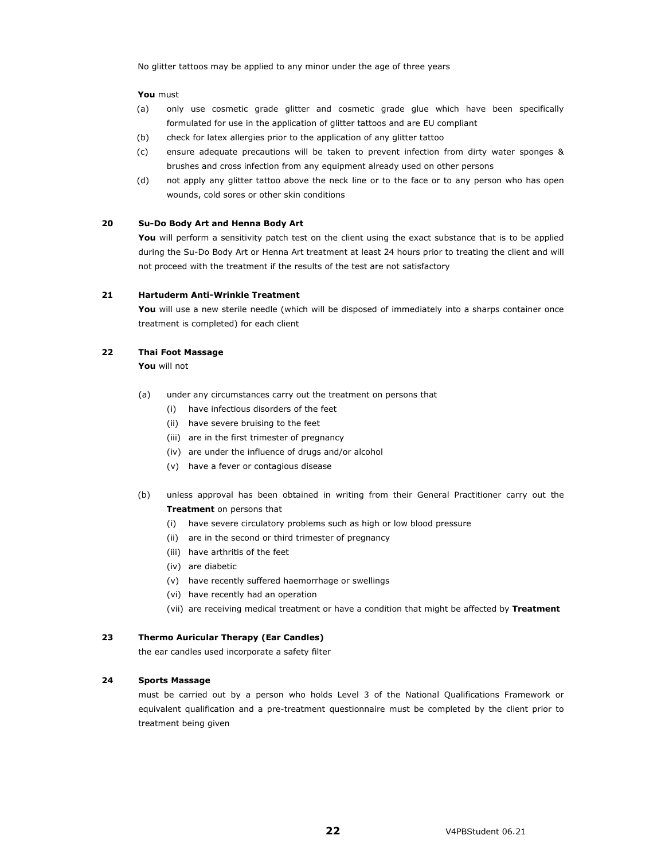No glitter tattoos may be applied to any minor under the age of three years

#### **You** must

- (a) only use cosmetic grade glitter and cosmetic grade glue which have been specifically formulated for use in the application of glitter tattoos and are EU compliant
- (b) check for latex allergies prior to the application of any glitter tattoo
- (c) ensure adequate precautions will be taken to prevent infection from dirty water sponges & brushes and cross infection from any equipment already used on other persons
- (d) not apply any glitter tattoo above the neck line or to the face or to any person who has open wounds, cold sores or other skin conditions

#### **20 Su-Do Body Art and Henna Body Art**

You will perform a sensitivity patch test on the client using the exact substance that is to be applied during the Su-Do Body Art or Henna Art treatment at least 24 hours prior to treating the client and will not proceed with the treatment if the results of the test are not satisfactory

#### **21 Hartuderm Anti-Wrinkle Treatment**

You will use a new sterile needle (which will be disposed of immediately into a sharps container once treatment is completed) for each client

#### **22 Thai Foot Massage**

**You** will not

- (a) under any circumstances carry out the treatment on persons that
	- (i) have infectious disorders of the feet
	- (ii) have severe bruising to the feet
	- (iii) are in the first trimester of pregnancy
	- (iv) are under the influence of drugs and/or alcohol
	- (v) have a fever or contagious disease
- (b) unless approval has been obtained in writing from their General Practitioner carry out the **Treatment** on persons that
	- (i) have severe circulatory problems such as high or low blood pressure
	- (ii) are in the second or third trimester of pregnancy
	- (iii) have arthritis of the feet
	- (iv) are diabetic
	- (v) have recently suffered haemorrhage or swellings
	- (vi) have recently had an operation
	- (vii) are receiving medical treatment or have a condition that might be affected by **Treatment**

#### **23 Thermo Auricular Therapy (Ear Candles)**

the ear candles used incorporate a safety filter

#### **24 Sports Massage**

must be carried out by a person who holds Level 3 of the National Qualifications Framework or equivalent qualification and a pre-treatment questionnaire must be completed by the client prior to treatment being given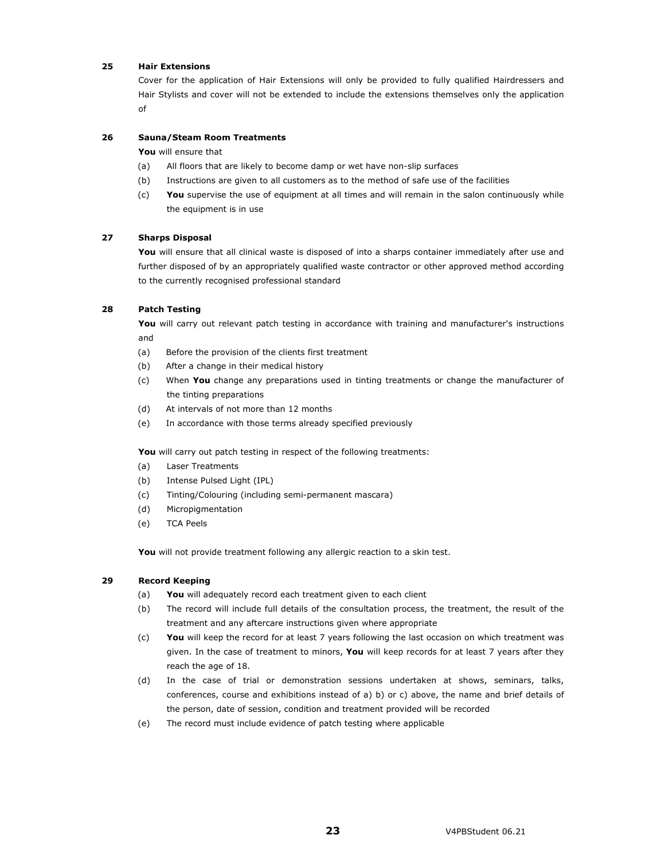#### **25 Hair Extensions**

Cover for the application of Hair Extensions will only be provided to fully qualified Hairdressers and Hair Stylists and cover will not be extended to include the extensions themselves only the application of

#### **26 Sauna/Steam Room Treatments**

**You** will ensure that

- (a) All floors that are likely to become damp or wet have non-slip surfaces
- (b) Instructions are given to all customers as to the method of safe use of the facilities
- (c) **You** supervise the use of equipment at all times and will remain in the salon continuously while the equipment is in use

#### **27 Sharps Disposal**

You will ensure that all clinical waste is disposed of into a sharps container immediately after use and further disposed of by an appropriately qualified waste contractor or other approved method according to the currently recognised professional standard

#### **28 Patch Testing**

You will carry out relevant patch testing in accordance with training and manufacturer's instructions and

- (a) Before the provision of the clients first treatment
- (b) After a change in their medical history
- (c) When **You** change any preparations used in tinting treatments or change the manufacturer of the tinting preparations
- (d) At intervals of not more than 12 months
- (e) In accordance with those terms already specified previously

You will carry out patch testing in respect of the following treatments:

- (a) Laser Treatments
- (b) Intense Pulsed Light (IPL)
- (c) Tinting/Colouring (including semi-permanent mascara)
- (d) Micropigmentation
- (e) TCA Peels

You will not provide treatment following any allergic reaction to a skin test.

#### **29 Record Keeping**

- (a) **You** will adequately record each treatment given to each client
- (b) The record will include full details of the consultation process, the treatment, the result of the treatment and any aftercare instructions given where appropriate
- (c) **You** will keep the record for at least 7 years following the last occasion on which treatment was given. In the case of treatment to minors, **You** will keep records for at least 7 years after they reach the age of 18.
- (d) In the case of trial or demonstration sessions undertaken at shows, seminars, talks, conferences, course and exhibitions instead of a) b) or c) above, the name and brief details of the person, date of session, condition and treatment provided will be recorded
- (e) The record must include evidence of patch testing where applicable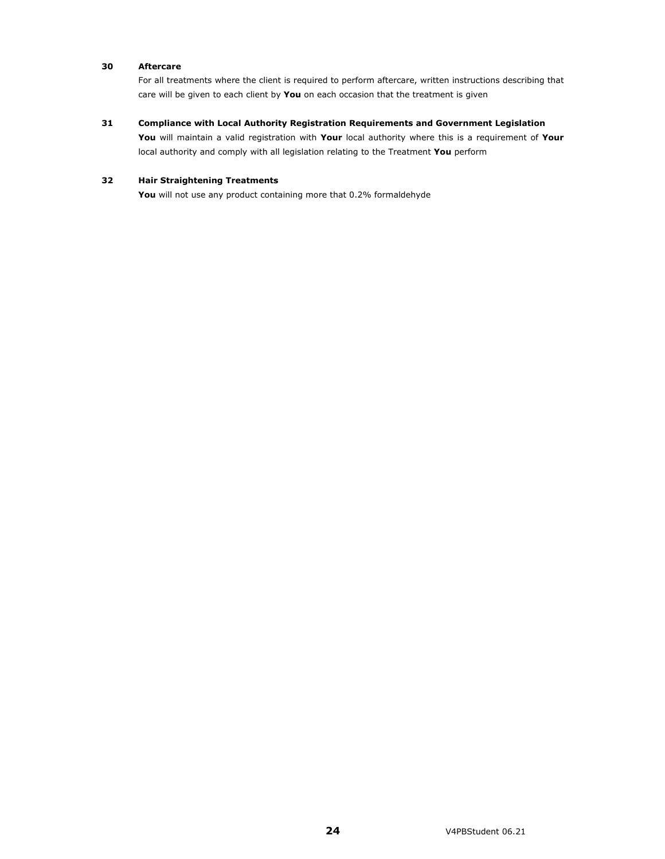#### **30 Aftercare**

For all treatments where the client is required to perform aftercare, written instructions describing that care will be given to each client by **You** on each occasion that the treatment is given

#### **31 Compliance with Local Authority Registration Requirements and Government Legislation**

**You** will maintain a valid registration with **Your** local authority where this is a requirement of **Your** local authority and comply with all legislation relating to the Treatment **You** perform

#### **32 Hair Straightening Treatments**

You will not use any product containing more that 0.2% formaldehyde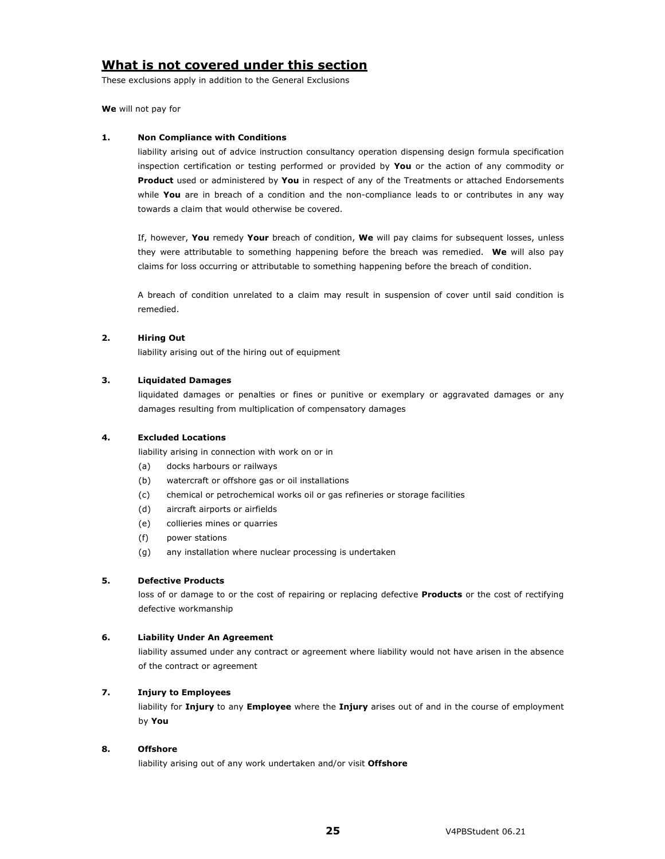# **What is not covered under this section**

These exclusions apply in addition to the General Exclusions

**We** will not pay for

#### **1. Non Compliance with Conditions**

liability arising out of advice instruction consultancy operation dispensing design formula specification inspection certification or testing performed or provided by **You** or the action of any commodity or **Product** used or administered by **You** in respect of any of the Treatments or attached Endorsements while **You** are in breach of a condition and the non-compliance leads to or contributes in any way towards a claim that would otherwise be covered.

If, however, **You** remedy **Your** breach of condition, **We** will pay claims for subsequent losses, unless they were attributable to something happening before the breach was remedied. **We** will also pay claims for loss occurring or attributable to something happening before the breach of condition.

A breach of condition unrelated to a claim may result in suspension of cover until said condition is remedied.

#### **2. Hiring Out**

liability arising out of the hiring out of equipment

#### **3. Liquidated Damages**

liquidated damages or penalties or fines or punitive or exemplary or aggravated damages or any damages resulting from multiplication of compensatory damages

#### **4. Excluded Locations**

liability arising in connection with work on or in

- (a) docks harbours or railways
- (b) watercraft or offshore gas or oil installations
- (c) chemical or petrochemical works oil or gas refineries or storage facilities
- (d) aircraft airports or airfields
- (e) collieries mines or quarries
- (f) power stations
- (g) any installation where nuclear processing is undertaken

#### **5. Defective Products**

loss of or damage to or the cost of repairing or replacing defective **Products** or the cost of rectifying defective workmanship

#### **6. Liability Under An Agreement**

liability assumed under any contract or agreement where liability would not have arisen in the absence of the contract or agreement

### **7. Injury to Employees**

liability for **Injury** to any **Employee** where the **Injury** arises out of and in the course of employment by **You** 

#### **8. Offshore**

liability arising out of any work undertaken and/or visit **Offshore**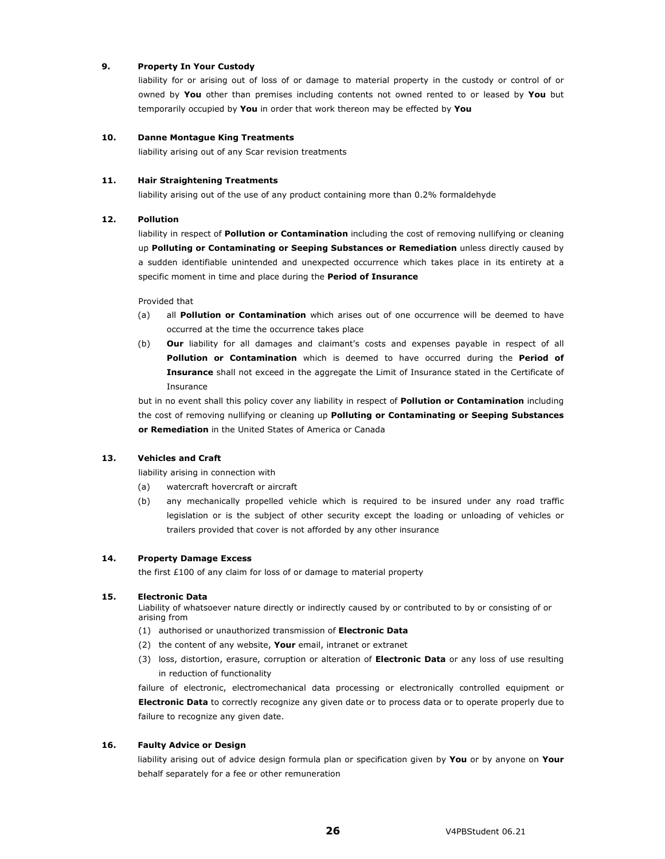#### **9. Property In Your Custody**

liability for or arising out of loss of or damage to material property in the custody or control of or owned by **You** other than premises including contents not owned rented to or leased by **You** but temporarily occupied by **You** in order that work thereon may be effected by **You** 

#### **10. Danne Montague King Treatments**

liability arising out of any Scar revision treatments

#### **11. Hair Straightening Treatments**

liability arising out of the use of any product containing more than 0.2% formaldehyde

#### **12. Pollution**

liability in respect of **Pollution or Contamination** including the cost of removing nullifying or cleaning up **Polluting or Contaminating or Seeping Substances or Remediation** unless directly caused by a sudden identifiable unintended and unexpected occurrence which takes place in its entirety at a specific moment in time and place during the **Period of Insurance**

Provided that

- (a) all **Pollution or Contamination** which arises out of one occurrence will be deemed to have occurred at the time the occurrence takes place
- (b) **Our** liability for all damages and claimant's costs and expenses payable in respect of all **Pollution or Contamination** which is deemed to have occurred during the **Period of Insurance** shall not exceed in the aggregate the Limit of Insurance stated in the Certificate of Insurance

but in no event shall this policy cover any liability in respect of **Pollution or Contamination** including the cost of removing nullifying or cleaning up **Polluting or Contaminating or Seeping Substances or Remediation** in the United States of America or Canada

#### **13. Vehicles and Craft**

liability arising in connection with

- (a) watercraft hovercraft or aircraft
- (b) any mechanically propelled vehicle which is required to be insured under any road traffic legislation or is the subject of other security except the loading or unloading of vehicles or trailers provided that cover is not afforded by any other insurance

#### **14. Property Damage Excess**

the first £100 of any claim for loss of or damage to material property

#### **15. Electronic Data**

Liability of whatsoever nature directly or indirectly caused by or contributed to by or consisting of or arising from

- (1) authorised or unauthorized transmission of **Electronic Data**
- (2) the content of any website, **Your** email, intranet or extranet
- (3) loss, distortion, erasure, corruption or alteration of **Electronic Data** or any loss of use resulting in reduction of functionality

failure of electronic, electromechanical data processing or electronically controlled equipment or **Electronic Data** to correctly recognize any given date or to process data or to operate properly due to failure to recognize any given date.

#### **16. Faulty Advice or Design**

liability arising out of advice design formula plan or specification given by **You** or by anyone on **Your** behalf separately for a fee or other remuneration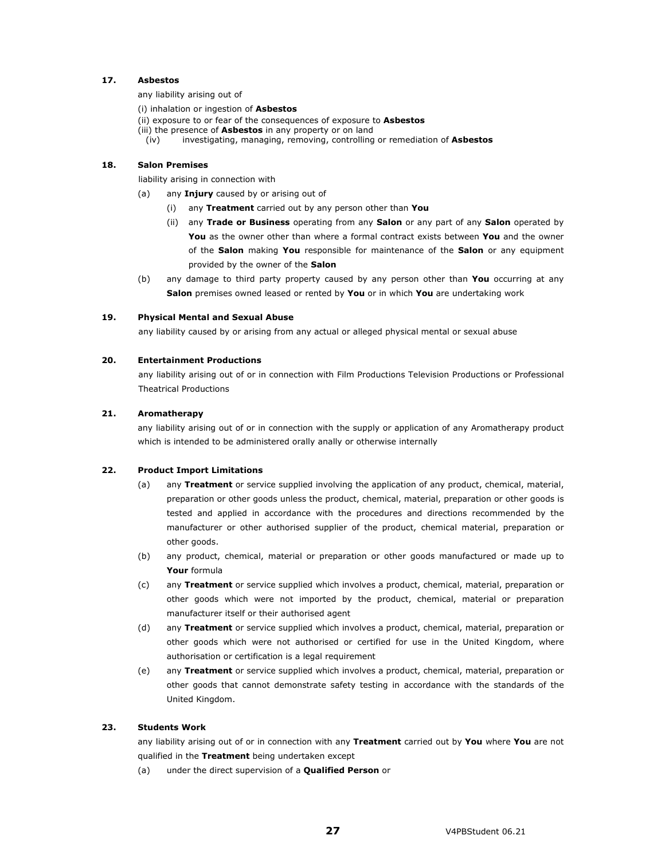#### **17. Asbestos**

any liability arising out of

- (i) inhalation or ingestion of **Asbestos**
- (ii) exposure to or fear of the consequences of exposure to **Asbestos**
- (iii) the presence of **Asbestos** in any property or on land
- (iv) investigating, managing, removing, controlling or remediation of **Asbestos**

#### **18. Salon Premises**

liability arising in connection with

- (a) any **Injury** caused by or arising out of
	- (i) any **Treatment** carried out by any person other than **You**
	- (ii) any **Trade or Business** operating from any **Salon** or any part of any **Salon** operated by **You** as the owner other than where a formal contract exists between **You** and the owner of the **Salon** making **You** responsible for maintenance of the **Salon** or any equipment provided by the owner of the **Salon**
- (b) any damage to third party property caused by any person other than **You** occurring at any **Salon** premises owned leased or rented by **You** or in which **You** are undertaking work

#### **19. Physical Mental and Sexual Abuse**

any liability caused by or arising from any actual or alleged physical mental or sexual abuse

#### **20. Entertainment Productions**

any liability arising out of or in connection with Film Productions Television Productions or Professional Theatrical Productions

#### **21. Aromatherapy**

any liability arising out of or in connection with the supply or application of any Aromatherapy product which is intended to be administered orally anally or otherwise internally

#### **22. Product Import Limitations**

- (a) any **Treatment** or service supplied involving the application of any product, chemical, material, preparation or other goods unless the product, chemical, material, preparation or other goods is tested and applied in accordance with the procedures and directions recommended by the manufacturer or other authorised supplier of the product, chemical material, preparation or other goods.
- (b) any product, chemical, material or preparation or other goods manufactured or made up to **Your** formula
- (c) any **Treatment** or service supplied which involves a product, chemical, material, preparation or other goods which were not imported by the product, chemical, material or preparation manufacturer itself or their authorised agent
- (d) any **Treatment** or service supplied which involves a product, chemical, material, preparation or other goods which were not authorised or certified for use in the United Kingdom, where authorisation or certification is a legal requirement
- (e) any **Treatment** or service supplied which involves a product, chemical, material, preparation or other goods that cannot demonstrate safety testing in accordance with the standards of the United Kingdom.

#### **23. Students Work**

any liability arising out of or in connection with any **Treatment** carried out by **You** where **You** are not qualified in the **Treatment** being undertaken except

(a) under the direct supervision of a **Qualified Person** or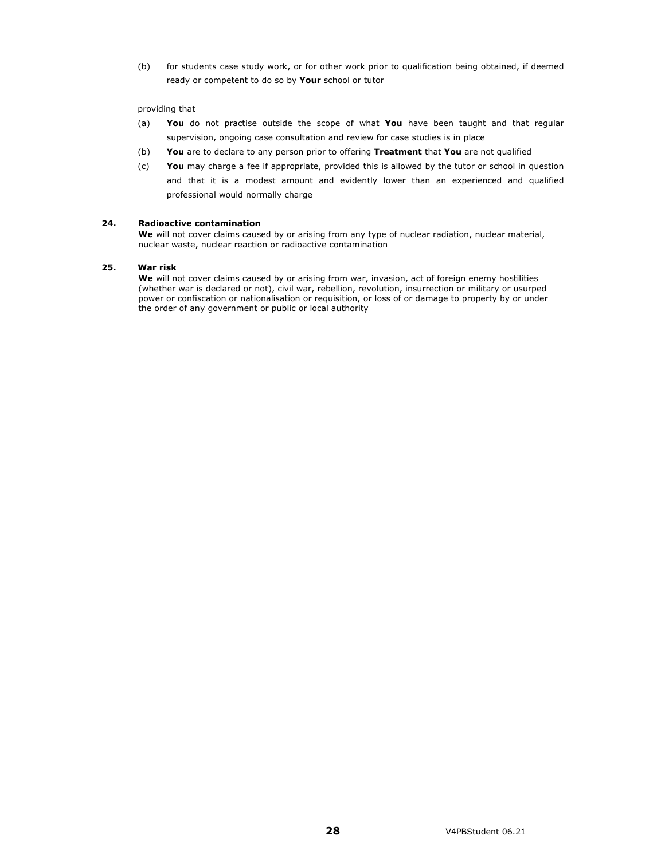(b) for students case study work, or for other work prior to qualification being obtained, if deemed ready or competent to do so by **Your** school or tutor

#### providing that

- (a) **You** do not practise outside the scope of what **You** have been taught and that regular supervision, ongoing case consultation and review for case studies is in place
- (b) **You** are to declare to any person prior to offering **Treatment** that **You** are not qualified
- (c) **You** may charge a fee if appropriate, provided this is allowed by the tutor or school in question and that it is a modest amount and evidently lower than an experienced and qualified professional would normally charge

#### **24. Radioactive contamination**

We will not cover claims caused by or arising from any type of nuclear radiation, nuclear material, nuclear waste, nuclear reaction or radioactive contamination

#### **25. War risk**

**We** will not cover claims caused by or arising from war, invasion, act of foreign enemy hostilities (whether war is declared or not), civil war, rebellion, revolution, insurrection or military or usurped power or confiscation or nationalisation or requisition, or loss of or damage to property by or under the order of any government or public or local authority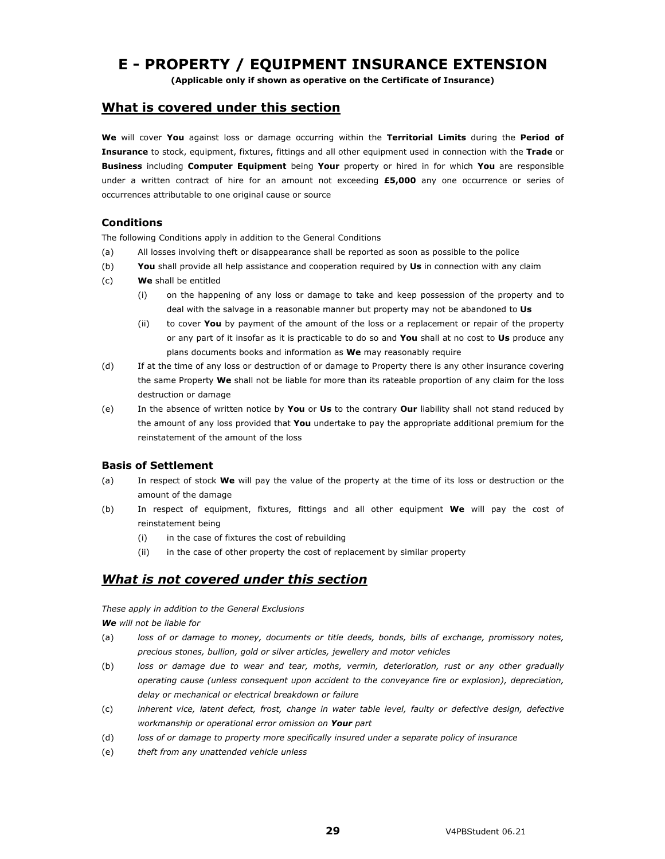# **E - PROPERTY / EQUIPMENT INSURANCE EXTENSION**

**(Applicable only if shown as operative on the Certificate of Insurance)** 

### **What is covered under this section**

**We** will cover **You** against loss or damage occurring within the **Territorial Limits** during the **Period of Insurance** to stock, equipment, fixtures, fittings and all other equipment used in connection with the **Trade** or **Business** including **Computer Equipment** being **Your** property or hired in for which **You** are responsible under a written contract of hire for an amount not exceeding **£5,000** any one occurrence or series of occurrences attributable to one original cause or source

### **Conditions**

The following Conditions apply in addition to the General Conditions

- (a) All losses involving theft or disappearance shall be reported as soon as possible to the police
- (b) **You** shall provide all help assistance and cooperation required by **Us** in connection with any claim
- (c) **We** shall be entitled
	- (i) on the happening of any loss or damage to take and keep possession of the property and to deal with the salvage in a reasonable manner but property may not be abandoned to **Us**
	- (ii) to cover **You** by payment of the amount of the loss or a replacement or repair of the property or any part of it insofar as it is practicable to do so and **You** shall at no cost to **Us** produce any plans documents books and information as **We** may reasonably require
- (d) If at the time of any loss or destruction of or damage to Property there is any other insurance covering the same Property **We** shall not be liable for more than its rateable proportion of any claim for the loss destruction or damage
- (e) In the absence of written notice by **You** or **Us** to the contrary **Our** liability shall not stand reduced by the amount of any loss provided that **You** undertake to pay the appropriate additional premium for the reinstatement of the amount of the loss

### **Basis of Settlement**

- (a) In respect of stock **We** will pay the value of the property at the time of its loss or destruction or the amount of the damage
- (b) In respect of equipment, fixtures, fittings and all other equipment **We** will pay the cost of reinstatement being
	- (i) in the case of fixtures the cost of rebuilding
	- (ii) in the case of other property the cost of replacement by similar property

## *What is not covered under this section*

*These apply in addition to the General Exclusions* 

*We will not be liable for* 

- (a) *loss of or damage to money, documents or title deeds, bonds, bills of exchange, promissory notes, precious stones, bullion, gold or silver articles, jewellery and motor vehicles*
- (b) *loss or damage due to wear and tear, moths, vermin, deterioration, rust or any other gradually operating cause (unless consequent upon accident to the conveyance fire or explosion), depreciation, delay or mechanical or electrical breakdown or failure*
- (c) *inherent vice, latent defect, frost, change in water table level, faulty or defective design, defective workmanship or operational error omission on Your part*
- (d) *loss of or damage to property more specifically insured under a separate policy of insurance*
- (e) *theft from any unattended vehicle unless*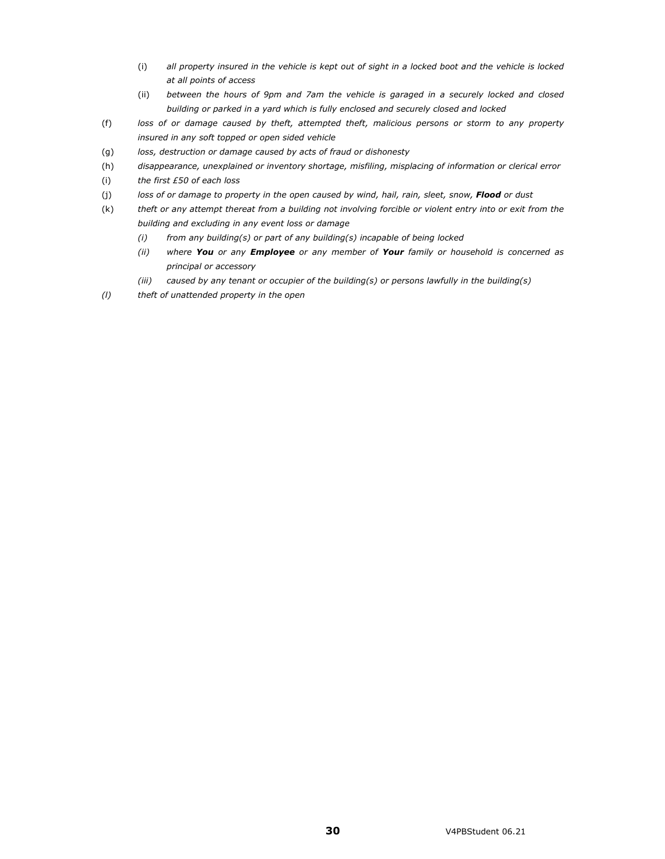- (i) *all property insured in the vehicle is kept out of sight in a locked boot and the vehicle is locked at all points of access*
- (ii) *between the hours of 9pm and 7am the vehicle is garaged in a securely locked and closed building or parked in a yard which is fully enclosed and securely closed and locked*
- (f) *loss of or damage caused by theft, attempted theft, malicious persons or storm to any property insured in any soft topped or open sided vehicle*
- (g) *loss, destruction or damage caused by acts of fraud or dishonesty*
- (h) *disappearance, unexplained or inventory shortage, misfiling, misplacing of information or clerical error*
- (i) *the first £50 of each loss*
- (j) *loss of or damage to property in the open caused by wind, hail, rain, sleet, snow, Flood or dust*
- (k) *theft or any attempt thereat from a building not involving forcible or violent entry into or exit from the building and excluding in any event loss or damage* 
	- *(i) from any building(s) or part of any building(s) incapable of being locked*
	- *(ii) where You or any Employee or any member of Your family or household is concerned as principal or accessory*
	- *(iii) caused by any tenant or occupier of the building(s) or persons lawfully in the building(s)*
- *(l) theft of unattended property in the open*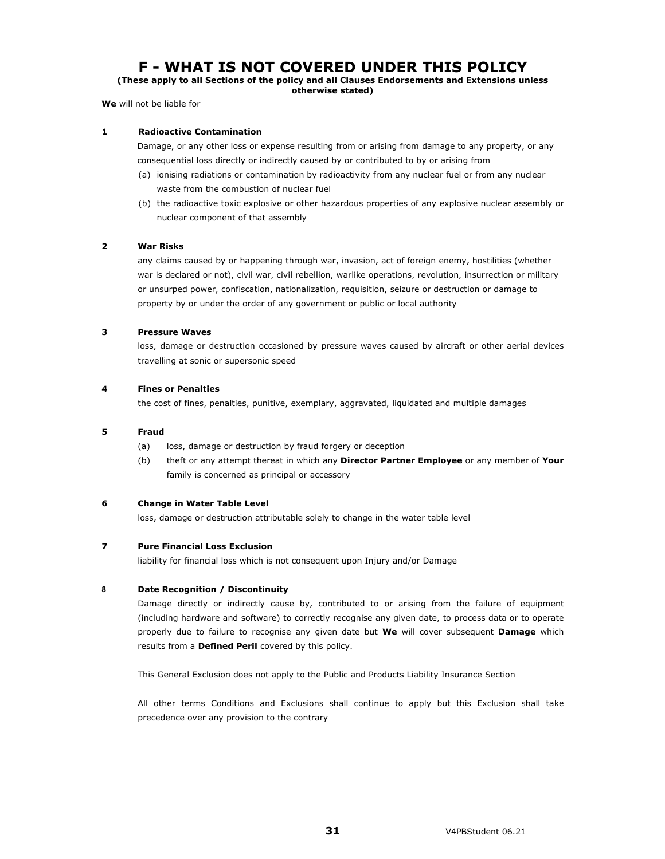# **F - WHAT IS NOT COVERED UNDER THIS POLICY**

**(These apply to all Sections of the policy and all Clauses Endorsements and Extensions unless otherwise stated)** 

**We** will not be liable for

#### **1 Radioactive Contamination**

 Damage, or any other loss or expense resulting from or arising from damage to any property, or any consequential loss directly or indirectly caused by or contributed to by or arising from

- (a) ionising radiations or contamination by radioactivity from any nuclear fuel or from any nuclear waste from the combustion of nuclear fuel
- (b) the radioactive toxic explosive or other hazardous properties of any explosive nuclear assembly or nuclear component of that assembly

#### **2 War Risks**

 any claims caused by or happening through war, invasion, act of foreign enemy, hostilities (whether war is declared or not), civil war, civil rebellion, warlike operations, revolution, insurrection or military or unsurped power, confiscation, nationalization, requisition, seizure or destruction or damage to property by or under the order of any government or public or local authority

#### **3 Pressure Waves**

loss, damage or destruction occasioned by pressure waves caused by aircraft or other aerial devices travelling at sonic or supersonic speed

#### **4 Fines or Penalties**

the cost of fines, penalties, punitive, exemplary, aggravated, liquidated and multiple damages

#### **5 Fraud**

- (a) loss, damage or destruction by fraud forgery or deception
- (b) theft or any attempt thereat in which any **Director Partner Employee** or any member of **Your** family is concerned as principal or accessory

#### **6 Change in Water Table Level**

loss, damage or destruction attributable solely to change in the water table level

#### **7 Pure Financial Loss Exclusion**

liability for financial loss which is not consequent upon Injury and/or Damage

#### **8 Date Recognition / Discontinuity**

Damage directly or indirectly cause by, contributed to or arising from the failure of equipment (including hardware and software) to correctly recognise any given date, to process data or to operate properly due to failure to recognise any given date but **We** will cover subsequent **Damage** which results from a **Defined Peril** covered by this policy.

This General Exclusion does not apply to the Public and Products Liability Insurance Section

All other terms Conditions and Exclusions shall continue to apply but this Exclusion shall take precedence over any provision to the contrary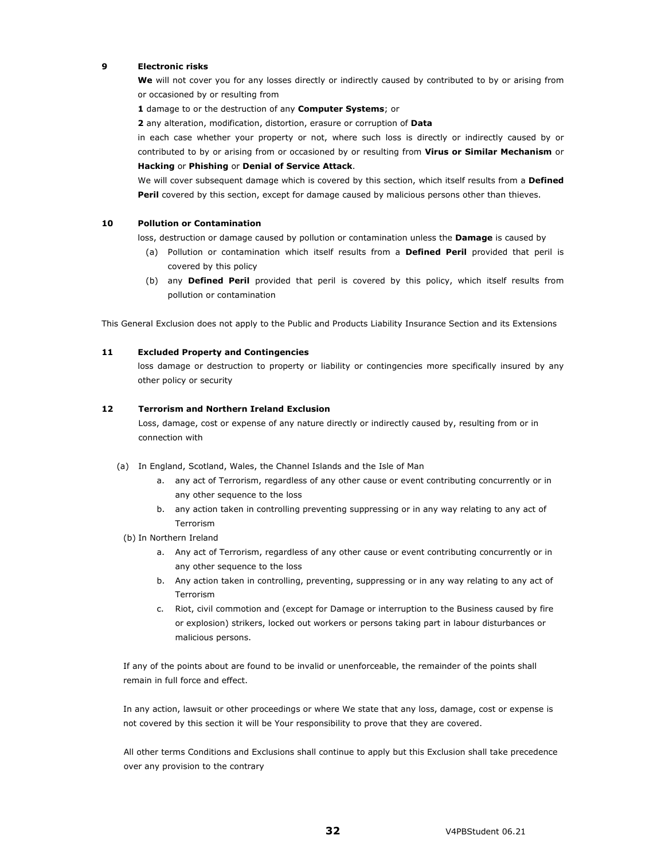#### **9 Electronic risks**

 **We** will not cover you for any losses directly or indirectly caused by contributed to by or arising from or occasioned by or resulting from

**1** damage to or the destruction of any **Computer Systems**; or

**2** any alteration, modification, distortion, erasure or corruption of **Data**

 in each case whether your property or not, where such loss is directly or indirectly caused by or contributed to by or arising from or occasioned by or resulting from **Virus or Similar Mechanism** or **Hacking** or **Phishing** or **Denial of Service Attack**.

 We will cover subsequent damage which is covered by this section, which itself results from a **Defined Peril** covered by this section, except for damage caused by malicious persons other than thieves.

#### **10 Pollution or Contamination**

loss, destruction or damage caused by pollution or contamination unless the **Damage** is caused by

- (a) Pollution or contamination which itself results from a **Defined Peril** provided that peril is covered by this policy
- (b) any **Defined Peril** provided that peril is covered by this policy, which itself results from pollution or contamination

This General Exclusion does not apply to the Public and Products Liability Insurance Section and its Extensions

#### **11 Excluded Property and Contingencies**

loss damage or destruction to property or liability or contingencies more specifically insured by any other policy or security

#### **12 Terrorism and Northern Ireland Exclusion**

Loss, damage, cost or expense of any nature directly or indirectly caused by, resulting from or in connection with

- (a) In England, Scotland, Wales, the Channel Islands and the Isle of Man
	- a. any act of Terrorism, regardless of any other cause or event contributing concurrently or in any other sequence to the loss
	- b. any action taken in controlling preventing suppressing or in any way relating to any act of Terrorism
- (b) In Northern Ireland
	- a. Any act of Terrorism, regardless of any other cause or event contributing concurrently or in any other sequence to the loss
	- b. Any action taken in controlling, preventing, suppressing or in any way relating to any act of Terrorism
	- c. Riot, civil commotion and (except for Damage or interruption to the Business caused by fire or explosion) strikers, locked out workers or persons taking part in labour disturbances or malicious persons.

If any of the points about are found to be invalid or unenforceable, the remainder of the points shall remain in full force and effect.

In any action, lawsuit or other proceedings or where We state that any loss, damage, cost or expense is not covered by this section it will be Your responsibility to prove that they are covered.

All other terms Conditions and Exclusions shall continue to apply but this Exclusion shall take precedence over any provision to the contrary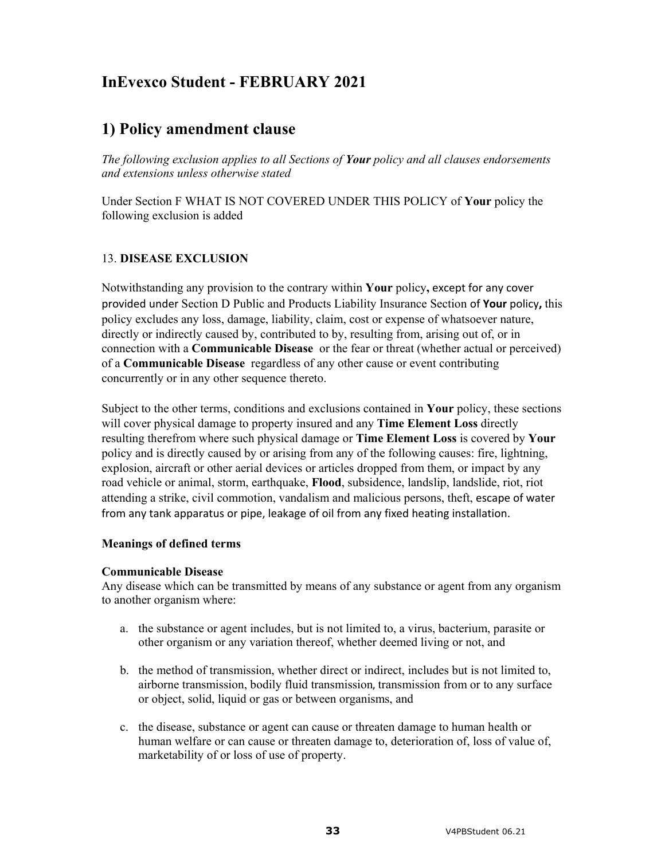# **InEvexco Student - FEBRUARY 2021**

# **1) Policy amendment clause**

*The following exclusion applies to all Sections of Your policy and all clauses endorsements and extensions unless otherwise stated*

Under Section F WHAT IS NOT COVERED UNDER THIS POLICY of **Your** policy the following exclusion is added

## 13. **DISEASE EXCLUSION**

Notwithstanding any provision to the contrary within **Your** policy**,** except for any cover provided under Section D Public and Products Liability Insurance Section of **Your** policy**,** this policy excludes any loss, damage, liability, claim, cost or expense of whatsoever nature, directly or indirectly caused by, contributed to by, resulting from, arising out of, or in connection with a **Communicable Disease** or the fear or threat (whether actual or perceived) of a **Communicable Disease** regardless of any other cause or event contributing concurrently or in any other sequence thereto.

Subject to the other terms, conditions and exclusions contained in **Your** policy, these sections will cover physical damage to property insured and any **Time Element Loss** directly resulting therefrom where such physical damage or **Time Element Loss** is covered by **Your**  policy and is directly caused by or arising from any of the following causes: fire, lightning, explosion, aircraft or other aerial devices or articles dropped from them, or impact by any road vehicle or animal, storm, earthquake, **Flood**, subsidence, landslip, landslide, riot, riot attending a strike, civil commotion, vandalism and malicious persons, theft, escape of water from any tank apparatus or pipe, leakage of oil from any fixed heating installation.

## **Meanings of defined terms**

## **Communicable Disease**

Any disease which can be transmitted by means of any substance or agent from any organism to another organism where:

- a. the substance or agent includes, but is not limited to, a virus, bacterium, parasite or other organism or any variation thereof, whether deemed living or not, and
- b. the method of transmission, whether direct or indirect, includes but is not limited to, airborne transmission, bodily fluid transmission, transmission from or to any surface or object, solid, liquid or gas or between organisms, and
- c. the disease, substance or agent can cause or threaten damage to human health or human welfare or can cause or threaten damage to, deterioration of, loss of value of, marketability of or loss of use of property.